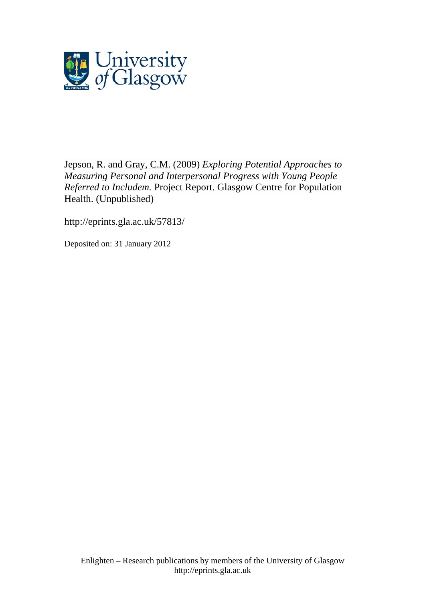

Jepson, R. and [Gray, C.M.](http://eprints.gla.ac.uk/view/author/16517.html) (2009) *Exploring Potential Approaches to Measuring Personal and Interpersonal Progress with Young People Referred to Includem.* Project Report. Glasgow Centre for Population Health. (Unpublished)

<http://eprints.gla.ac.uk/57813/>

Deposited on: 31 January 2012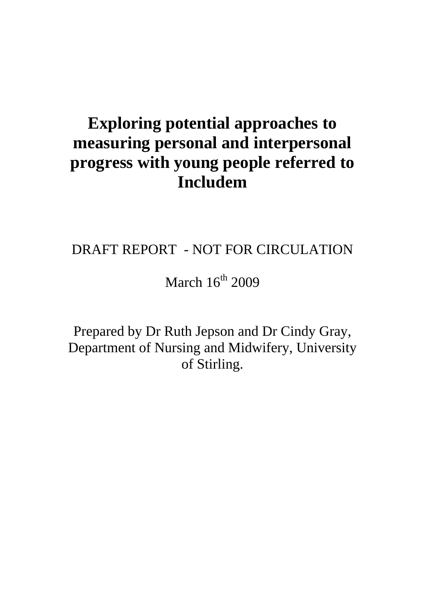# **Exploring potential approaches to measuring personal and interpersonal progress with young people referred to Includem**

DRAFT REPORT - NOT FOR CIRCULATION

March  $16^{th}$  2009

Prepared by Dr Ruth Jepson and Dr Cindy Gray, Department of Nursing and Midwifery, University of Stirling.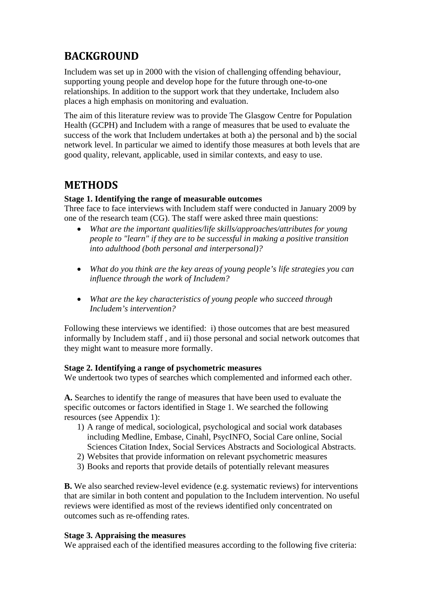## **BACKGROUND**

Includem was set up in 2000 with the vision of challenging offending behaviour, supporting young people and develop hope for the future through one-to-one relationships. In addition to the support work that they undertake, Includem also places a high emphasis on monitoring and evaluation.

The aim of this literature review was to provide The Glasgow Centre for Population Health (GCPH) and Includem with a range of measures that be used to evaluate the success of the work that Includem undertakes at both a) the personal and b) the social network level. In particular we aimed to identify those measures at both levels that are good quality, relevant, applicable, used in similar contexts, and easy to use.

## **METHODS**

### **Stage 1. Identifying the range of measurable outcomes**

Three face to face interviews with Includem staff were conducted in January 2009 by one of the research team (CG). The staff were asked three main questions:

- *What are the important qualities/life skills/approaches/attributes for young people to "learn" if they are to be successful in making a positive transition into adulthood (both personal and interpersonal)?*
- *What do you think are the key areas of young people's life strategies you can influence through the work of Includem?*
- *What are the key characteristics of young people who succeed through Includem's intervention?*

Following these interviews we identified: i) those outcomes that are best measured informally by Includem staff , and ii) those personal and social network outcomes that they might want to measure more formally.

### **Stage 2. Identifying a range of psychometric measures**

We undertook two types of searches which complemented and informed each other.

**A.** Searches to identify the range of measures that have been used to evaluate the specific outcomes or factors identified in Stage 1. We searched the following resources (see Appendix 1):

- 1) A range of medical, sociological, psychological and social work databases including Medline, Embase, Cinahl, PsycINFO, Social Care online, Social Sciences Citation Index, Social Services Abstracts and Sociological Abstracts.
- 2) Websites that provide information on relevant psychometric measures
- 3) Books and reports that provide details of potentially relevant measures

**B.** We also searched review-level evidence (e.g. systematic reviews) for interventions that are similar in both content and population to the Includem intervention. No useful reviews were identified as most of the reviews identified only concentrated on outcomes such as re-offending rates.

#### **Stage 3. Appraising the measures**

We appraised each of the identified measures according to the following five criteria: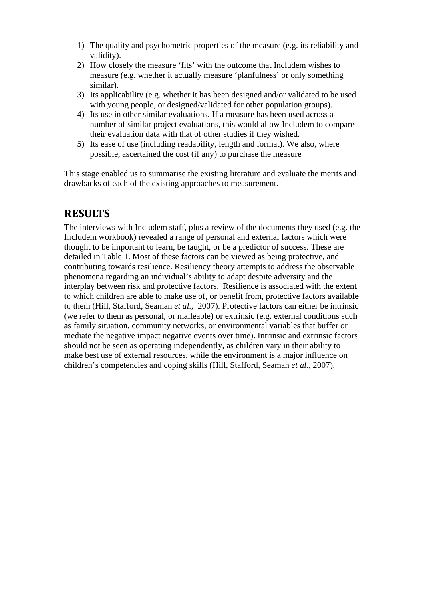- 1) The quality and psychometric properties of the measure (e.g. its reliability and validity).
- 2) How closely the measure 'fits' with the outcome that Includem wishes to measure (e.g. whether it actually measure 'planfulness' or only something similar).
- 3) Its applicability (e.g. whether it has been designed and/or validated to be used with young people, or designed/validated for other population groups).
- 4) Its use in other similar evaluations. If a measure has been used across a number of similar project evaluations, this would allow Includem to compare their evaluation data with that of other studies if they wished.
- 5) Its ease of use (including readability, length and format). We also, where possible, ascertained the cost (if any) to purchase the measure

This stage enabled us to summarise the existing literature and evaluate the merits and drawbacks of each of the existing approaches to measurement.

## **RESULTS**

The interviews with Includem staff, plus a review of the documents they used (e.g. the Includem workbook) revealed a range of personal and external factors which were thought to be important to learn, be taught, or be a predictor of success. These are detailed in Table 1. Most of these factors can be viewed as being protective, and contributing towards resilience. Resiliency theory attempts to address the observable phenomena regarding an individual's ability to adapt despite adversity and the interplay between risk and protective factors. Resilience is associated with the extent to which children are able to make use of, or benefit from, protective factors available to them (Hill, Stafford, Seaman *et al.,* 2007). Protective factors can either be intrinsic (we refer to them as personal, or malleable) or extrinsic (e.g. external conditions such as family situation, community networks, or environmental variables that buffer or mediate the negative impact negative events over time). Intrinsic and extrinsic factors should not be seen as operating independently, as children vary in their ability to make best use of external resources, while the environment is a major influence on children's competencies and coping skills (Hill, Stafford, Seaman *et al.,* 2007).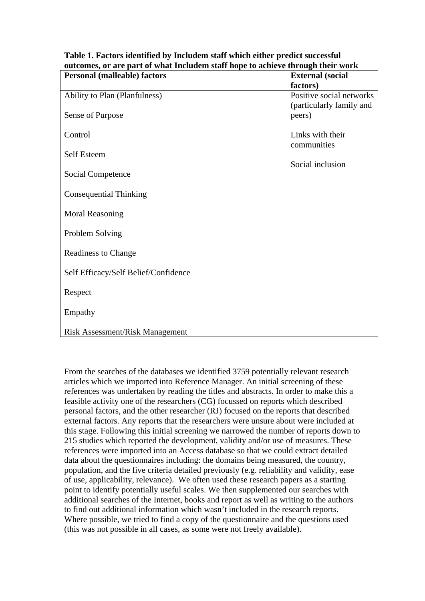| <b>Personal (malleable) factors</b>    | <b>External</b> (social  |
|----------------------------------------|--------------------------|
|                                        | factors)                 |
| Ability to Plan (Planfulness)          | Positive social networks |
|                                        | (particularly family and |
| Sense of Purpose                       | peers)                   |
|                                        |                          |
| Control                                | Links with their         |
|                                        | communities              |
| <b>Self Esteem</b>                     |                          |
|                                        | Social inclusion         |
| Social Competence                      |                          |
|                                        |                          |
| <b>Consequential Thinking</b>          |                          |
| <b>Moral Reasoning</b>                 |                          |
|                                        |                          |
| Problem Solving                        |                          |
|                                        |                          |
| <b>Readiness to Change</b>             |                          |
|                                        |                          |
| Self Efficacy/Self Belief/Confidence   |                          |
|                                        |                          |
| Respect                                |                          |
|                                        |                          |
| Empathy                                |                          |
|                                        |                          |
| <b>Risk Assessment/Risk Management</b> |                          |

### **Table 1. Factors identified by Includem staff which either predict successful outcomes, or are part of what Includem staff hope to achieve through their work**

From the searches of the databases we identified 3759 potentially relevant research articles which we imported into Reference Manager. An initial screening of these references was undertaken by reading the titles and abstracts. In order to make this a feasible activity one of the researchers (CG) focussed on reports which described personal factors, and the other researcher (RJ) focused on the reports that described external factors. Any reports that the researchers were unsure about were included at this stage. Following this initial screening we narrowed the number of reports down to 215 studies which reported the development, validity and/or use of measures. These references were imported into an Access database so that we could extract detailed data about the questionnaires including: the domains being measured, the country, population, and the five criteria detailed previously (e.g. reliability and validity, ease of use, applicability, relevance). We often used these research papers as a starting point to identify potentially useful scales. We then supplemented our searches with additional searches of the Internet, books and report as well as writing to the authors to find out additional information which wasn't included in the research reports. Where possible, we tried to find a copy of the questionnaire and the questions used (this was not possible in all cases, as some were not freely available).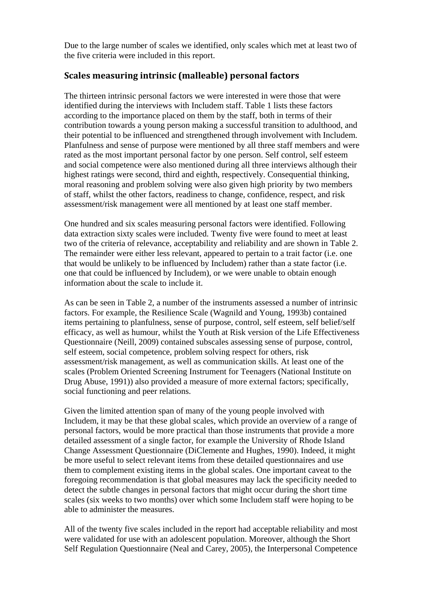Due to the large number of scales we identified, only scales which met at least two of the five criteria were included in this report.

### **Scales measuring intrinsic (malleable) personal factors**

The thirteen intrinsic personal factors we were interested in were those that were identified during the interviews with Includem staff. Table 1 lists these factors according to the importance placed on them by the staff, both in terms of their contribution towards a young person making a successful transition to adulthood, and their potential to be influenced and strengthened through involvement with Includem. Planfulness and sense of purpose were mentioned by all three staff members and were rated as the most important personal factor by one person. Self control, self esteem and social competence were also mentioned during all three interviews although their highest ratings were second, third and eighth, respectively. Consequential thinking, moral reasoning and problem solving were also given high priority by two members of staff, whilst the other factors, readiness to change, confidence, respect, and risk assessment/risk management were all mentioned by at least one staff member.

One hundred and six scales measuring personal factors were identified. Following data extraction sixty scales were included. Twenty five were found to meet at least two of the criteria of relevance, acceptability and reliability and are shown in Table 2. The remainder were either less relevant, appeared to pertain to a trait factor (i.e. one that would be unlikely to be influenced by Includem) rather than a state factor (i.e. one that could be influenced by Includem), or we were unable to obtain enough information about the scale to include it.

As can be seen in Table 2, a number of the instruments assessed a number of intrinsic factors. For example, the Resilience Scale (Wagnild and Young, 1993b) contained items pertaining to planfulness, sense of purpose, control, self esteem, self belief/self efficacy, as well as humour, whilst the Youth at Risk version of the Life Effectiveness Questionnaire (Neill, 2009) contained subscales assessing sense of purpose, control, self esteem, social competence, problem solving respect for others, risk assessment/risk management, as well as communication skills. At least one of the scales (Problem Oriented Screening Instrument for Teenagers (National Institute on Drug Abuse, 1991)) also provided a measure of more external factors; specifically, social functioning and peer relations.

Given the limited attention span of many of the young people involved with Includem, it may be that these global scales, which provide an overview of a range of personal factors, would be more practical than those instruments that provide a more detailed assessment of a single factor, for example the University of Rhode Island Change Assessment Questionnaire (DiClemente and Hughes, 1990). Indeed, it might be more useful to select relevant items from these detailed questionnaires and use them to complement existing items in the global scales. One important caveat to the foregoing recommendation is that global measures may lack the specificity needed to detect the subtle changes in personal factors that might occur during the short time scales (six weeks to two months) over which some Includem staff were hoping to be able to administer the measures.

All of the twenty five scales included in the report had acceptable reliability and most were validated for use with an adolescent population. Moreover, although the Short Self Regulation Questionnaire (Neal and Carey, 2005), the Interpersonal Competence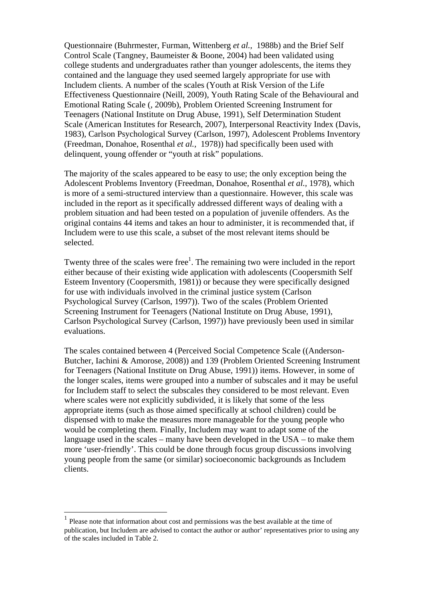Questionnaire (Buhrmester, Furman, Wittenberg *et al.,* 1988b) and the Brief Self Control Scale (Tangney, Baumeister & Boone, 2004) had been validated using college students and undergraduates rather than younger adolescents, the items they contained and the language they used seemed largely appropriate for use with Includem clients. A number of the scales (Youth at Risk Version of the Life Effectiveness Questionnaire (Neill, 2009), Youth Rating Scale of the Behavioural and Emotional Rating Scale (, 2009b), Problem Oriented Screening Instrument for Teenagers (National Institute on Drug Abuse, 1991), Self Determination Student Scale (American Institutes for Research, 2007), Interpersonal Reactivity Index (Davis, 1983), Carlson Psychological Survey (Carlson, 1997), Adolescent Problems Inventory (Freedman, Donahoe, Rosenthal *et al.,* 1978)) had specifically been used with delinquent, young offender or "youth at risk" populations.

The majority of the scales appeared to be easy to use; the only exception being the Adolescent Problems Inventory (Freedman, Donahoe, Rosenthal *et al.,* 1978), which is more of a semi-structured interview than a questionnaire. However, this scale was included in the report as it specifically addressed different ways of dealing with a problem situation and had been tested on a population of juvenile offenders. As the original contains 44 items and takes an hour to administer, it is recommended that, if Includem were to use this scale, a subset of the most relevant items should be selected.

Twenty three of the scales were free $<sup>1</sup>$ . The remaining two were included in the report</sup> either because of their existing wide application with adolescents (Coopersmith Self Esteem Inventory (Coopersmith, 1981)) or because they were specifically designed for use with individuals involved in the criminal justice system (Carlson Psychological Survey (Carlson, 1997)). Two of the scales (Problem Oriented Screening Instrument for Teenagers (National Institute on Drug Abuse, 1991), Carlson Psychological Survey (Carlson, 1997)) have previously been used in similar evaluations.

The scales contained between 4 (Perceived Social Competence Scale ((Anderson-Butcher, Iachini & Amorose, 2008)) and 139 (Problem Oriented Screening Instrument for Teenagers (National Institute on Drug Abuse, 1991)) items. However, in some of the longer scales, items were grouped into a number of subscales and it may be useful for Includem staff to select the subscales they considered to be most relevant. Even where scales were not explicitly subdivided, it is likely that some of the less appropriate items (such as those aimed specifically at school children) could be dispensed with to make the measures more manageable for the young people who would be completing them. Finally, Includem may want to adapt some of the language used in the scales – many have been developed in the USA – to make them more 'user-friendly'. This could be done through focus group discussions involving young people from the same (or similar) socioeconomic backgrounds as Includem clients.

1

 $<sup>1</sup>$  Please note that information about cost and permissions was the best available at the time of</sup> publication, but Includem are advised to contact the author or author' representatives prior to using any of the scales included in Table 2.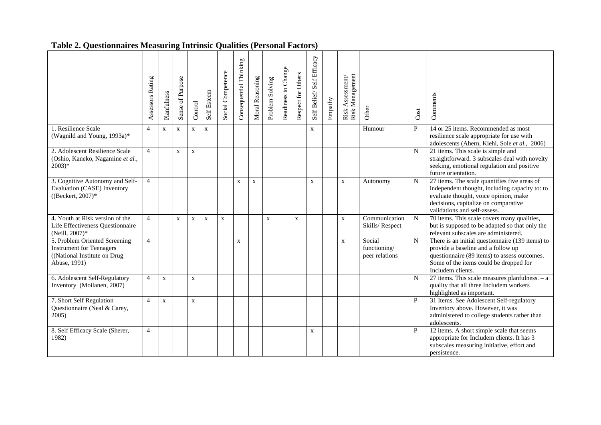|                                                                                                                  | Assessors Rating | Planfulness | of Purpose<br>Sense     | Control     | Self Esteem | Social Competence | Consequential Thinking | Moral Reasoning | Problem Solving | Readiness to Change | Respect for Others | Self Belief/Self Efficacy | Empathy | Management<br>Risk Assessment/<br>Risk Management | Other                                    | $\mathop{\text{Cost}}$ | Comments                                                                                                                                                                                                        |
|------------------------------------------------------------------------------------------------------------------|------------------|-------------|-------------------------|-------------|-------------|-------------------|------------------------|-----------------|-----------------|---------------------|--------------------|---------------------------|---------|---------------------------------------------------|------------------------------------------|------------------------|-----------------------------------------------------------------------------------------------------------------------------------------------------------------------------------------------------------------|
| 1. Resilience Scale<br>(Wagnild and Young, 1993a)*                                                               | $\overline{4}$   | $\mathbf X$ | $\mathbf X$             | $\mathbf x$ | $\mathbf X$ |                   |                        |                 |                 |                     |                    | $\mathbf X$               |         |                                                   | Humour                                   | P                      | 14 or 25 items. Recommended as most<br>resilience scale appropriate for use with<br>adolescents (Ahern, Kiehl, Sole et al., 2006)                                                                               |
| 2. Adolescent Resilience Scale<br>(Oshio, Kaneko, Nagamine et al.,<br>$2003)*$                                   | $\overline{4}$   |             | $\overline{\mathbf{X}}$ | $\mathbf x$ |             |                   |                        |                 |                 |                     |                    |                           |         |                                                   |                                          | $\mathbf N$            | 21 items. This scale is simple and<br>straightforward. 3 subscales deal with novelty<br>seeking, emotional regulation and positive<br>future orientation.                                                       |
| 3. Cognitive Autonomy and Self-<br>Evaluation (CASE) Inventory<br>$((Beckert, 2007)*$                            | $\overline{4}$   |             |                         |             |             |                   | X                      | $\mathbf x$     |                 |                     |                    | X                         |         | $\mathbf X$                                       | Autonomy                                 | N                      | 27 items. The scale quantifies five areas of<br>independent thought, including capacity to: to<br>evaluate thought, voice opinion, make<br>decisions, capitalize on comparative<br>validations and self-assess. |
| 4. Youth at Risk version of the<br>Life Effectiveness Questionnaire<br>(Neill, 2007)*                            | $\overline{4}$   |             | $\mathbf x$             | $\mathbf x$ | $\mathbf x$ | $\mathbf x$       |                        |                 | $\bf{X}$        |                     | $\mathbf X$        |                           |         | $\mathbf{x}$                                      | Communication<br>Skills/Respect          | N                      | 70 items. This scale covers many qualities,<br>but is supposed to be adapted so that only the<br>relevant subscales are administered.                                                                           |
| 5. Problem Oriented Screening<br><b>Instrument for Teenagers</b><br>((National Institute on Drug<br>Abuse, 1991) | $\overline{4}$   |             |                         |             |             |                   | $\mathbf x$            |                 |                 |                     |                    |                           |         | $\mathbf{x}$                                      | Social<br>functioning/<br>peer relations | N                      | There is an initial questionnaire (139 items) to<br>provide a baseline and a follow up<br>questionnaire (89 items) to assess outcomes.<br>Some of the items could be dropped for<br>Includem clients.           |
| 6. Adolescent Self-Regulatory<br>Inventory (Moilanen, 2007)                                                      | $\overline{4}$   | $\mathbf X$ |                         | $\mathbf X$ |             |                   |                        |                 |                 |                     |                    |                           |         |                                                   |                                          | N                      | 27 items. This scale measures planfulness. $-$ a<br>quality that all three Includem workers<br>highlighted as important.                                                                                        |
| 7. Short Self Regulation<br>Questionnaire (Neal & Carey,<br>2005)                                                | $\overline{4}$   | $\mathbf X$ |                         | $\mathbf X$ |             |                   |                        |                 |                 |                     |                    |                           |         |                                                   |                                          | $\mathbf{P}$           | 31 Items. See Adolescent Self-regulatory<br>Inventory above. However, it was<br>administered to college students rather than<br>adolescents.                                                                    |
| 8. Self Efficacy Scale (Sherer,<br>1982)                                                                         | $\overline{4}$   |             |                         |             |             |                   |                        |                 |                 |                     |                    | $\mathbf x$               |         |                                                   |                                          | $\, {\bf P}$           | 12 items. A short simple scale that seems<br>appropriate for Includem clients. It has 3<br>subscales measuring initiative, effort and<br>persistence.                                                           |

#### **Table 2. Questionnaires Measuring Intrinsic Qualities (Personal Factors)**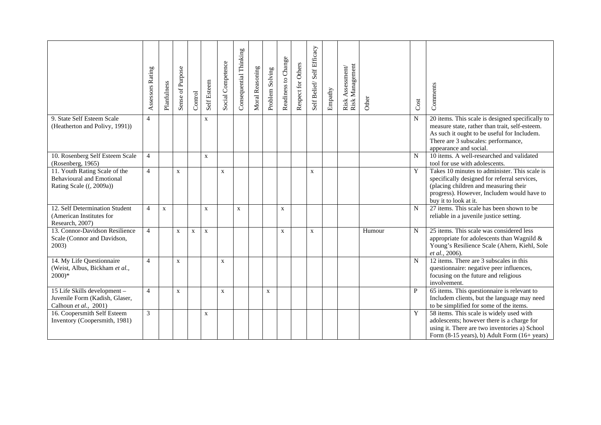|                                                                                               | Assessors Rating | Planfulness | Sense of Purpose | Control     | Self Esteem  | Social Competence | Consequential Thinking | Moral Reasoning | Problem Solving | Readiness to Change | Respect for Others | Self Belief/Self Efficacy | Empathy | Management<br>Risk Assessment/<br>Risk Management | Other  | $\rm Cost$   | Comments                                                                                                                                                                                                           |
|-----------------------------------------------------------------------------------------------|------------------|-------------|------------------|-------------|--------------|-------------------|------------------------|-----------------|-----------------|---------------------|--------------------|---------------------------|---------|---------------------------------------------------|--------|--------------|--------------------------------------------------------------------------------------------------------------------------------------------------------------------------------------------------------------------|
| 9. State Self Esteem Scale<br>(Heatherton and Polivy, 1991))                                  | $\overline{4}$   |             |                  |             | $\mathbf{X}$ |                   |                        |                 |                 |                     |                    |                           |         |                                                   |        | N            | 20 items. This scale is designed specifically to<br>measure state, rather than trait, self-esteem.<br>As such it ought to be useful for Includem.<br>There are 3 subscales: performance,<br>appearance and social. |
| 10. Rosenberg Self Esteem Scale<br>(Rosenberg, 1965)                                          | $\overline{4}$   |             |                  |             | $\mathbf X$  |                   |                        |                 |                 |                     |                    |                           |         |                                                   |        | N            | 10 items. A well-researched and validated<br>tool for use with adolescents.                                                                                                                                        |
| 11. Youth Rating Scale of the<br><b>Behavioural and Emotional</b><br>Rating Scale ((, 2009a)) | $\overline{4}$   |             | $\mathbf X$      |             |              | $\mathbf X$       |                        |                 |                 |                     |                    | $\mathbf X$               |         |                                                   |        | Y            | Takes 10 minutes to administer. This scale is<br>specifically designed for referral services,<br>(placing children and measuring their<br>progress). However, Includem would have to<br>buy it to look at it.      |
| 12. Self Determination Student<br>(American Institutes for<br>Research, 2007)                 | $\overline{4}$   | $\mathbf X$ |                  |             | X            |                   | X                      |                 |                 | X                   |                    |                           |         |                                                   |        | N            | 27 items. This scale has been shown to be<br>reliable in a juvenile justice setting.                                                                                                                               |
| 13. Connor-Davidson Resilience<br>Scale (Connor and Davidson,<br>2003)                        | $\overline{4}$   |             | $\mathbf X$      | $\mathbf x$ | $\mathbf{x}$ |                   |                        |                 |                 | $\mathbf{x}$        |                    | $\mathbf X$               |         |                                                   | Humour | N            | 25 items. This scale was considered less<br>appropriate for adolescents than Wagnild &<br>Young's Resilience Scale (Ahern, Kiehl, Sole<br>et al., 2006).                                                           |
| 14. My Life Questionnaire<br>(Weist, Albus, Bickham et al.,<br>$2000)*$                       | $\overline{4}$   |             | $\mathbf x$      |             |              | $\mathbf X$       |                        |                 |                 |                     |                    |                           |         |                                                   |        | N            | 12 items. There are 3 subscales in this<br>questionnaire: negative peer influences,<br>focusing on the future and religious<br>involvement.                                                                        |
| 15 Life Skills development -<br>Juvenile Form (Kadish, Glaser,<br>Calhoun et al., 2001)       | $\overline{4}$   |             | $\mathbf X$      |             |              | $\mathbf X$       |                        |                 | $\mathbf X$     |                     |                    |                           |         |                                                   |        | $\mathbf{P}$ | 65 items. This questionnaire is relevant to<br>Includem clients, but the language may need<br>to be simplified for some of the items.                                                                              |
| 16. Coopersmith Self Esteem<br>Inventory (Coopersmith, 1981)                                  | 3                |             |                  |             | $\mathbf X$  |                   |                        |                 |                 |                     |                    |                           |         |                                                   |        | Y            | 58 items. This scale is widely used with<br>adolescents; however there is a charge for<br>using it. There are two inventories a) School<br>Form (8-15 years), b) Adult Form (16+ years)                            |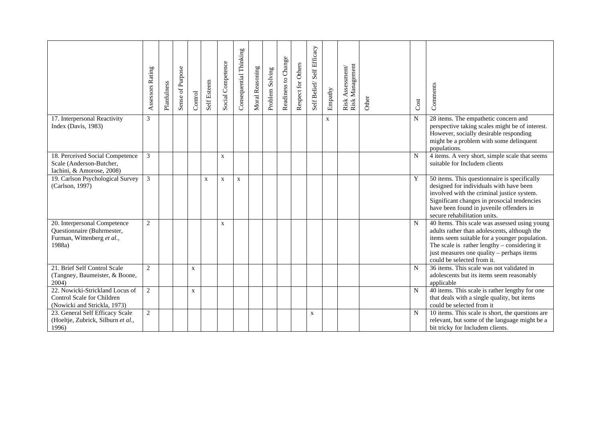|                                                                                                    | Assessors Rating | Planfulness | Sense of Purpose | Control     | Self Esteem | Social Competence | Consequential Thinking | Moral Reasoning | Problem Solving | Readiness to Change | Respect for Others | Self Belief/Self Efficacy | Empathy     | Management<br>Risk Assessment/<br>Risk Management | Other | Cost        | Comments                                                                                                                                                                                                                                                                    |
|----------------------------------------------------------------------------------------------------|------------------|-------------|------------------|-------------|-------------|-------------------|------------------------|-----------------|-----------------|---------------------|--------------------|---------------------------|-------------|---------------------------------------------------|-------|-------------|-----------------------------------------------------------------------------------------------------------------------------------------------------------------------------------------------------------------------------------------------------------------------------|
| 17. Interpersonal Reactivity<br>Index (Davis, 1983)                                                | 3                |             |                  |             |             |                   |                        |                 |                 |                     |                    |                           | $\mathbf X$ |                                                   |       | N           | 28 items. The empathetic concern and<br>perspective taking scales might be of interest.<br>However, socially desirable responding<br>might be a problem with some delinquent<br>populations.                                                                                |
| 18. Perceived Social Competence<br>Scale (Anderson-Butcher,<br>Iachini, & Amorose, 2008)           | 3                |             |                  |             |             | $\mathbf X$       |                        |                 |                 |                     |                    |                           |             |                                                   |       | N           | 4 items. A very short, simple scale that seems<br>suitable for Includem clients                                                                                                                                                                                             |
| 19. Carlson Psychological Survey<br>(Carlson, 1997)                                                | 3                |             |                  |             | X           | $\mathbf X$       | $\mathbf X$            |                 |                 |                     |                    |                           |             |                                                   |       | Y           | 50 items. This questionnaire is specifically<br>designed for individuals with have been<br>involved with the criminal justice system.<br>Significant changes in prosocial tendencies<br>have been found in juvenile offenders in<br>secure rehabilitation units.            |
| 20. Interpersonal Competence<br>Questionnaire (Buhrmester,<br>Furman, Wittenberg et al.,<br>1988a) | 2                |             |                  |             |             | $\mathbf x$       |                        |                 |                 |                     |                    |                           |             |                                                   |       | $\mathbf N$ | 40 Items. This scale was assessed using young<br>adults rather than adolescents, although the<br>items seem suitable for a younger population.<br>The scale is rather lengthy $-$ considering it<br>just measures one quality – perhaps items<br>could be selected from it. |
| 21. Brief Self Control Scale<br>(Tangney, Baumeister, & Boone,<br>2004)                            | $\overline{2}$   |             |                  | $\mathbf X$ |             |                   |                        |                 |                 |                     |                    |                           |             |                                                   |       | $\mathbf N$ | 36 items. This scale was not validated in<br>adolescents but its items seem reasonably<br>applicable                                                                                                                                                                        |
| 22. Nowicki-Strickland Locus of<br>Control Scale for Children<br>(Nowicki and Strickla, 1973)      | $\overline{c}$   |             |                  | $\mathbf X$ |             |                   |                        |                 |                 |                     |                    |                           |             |                                                   |       | N           | 40 items. This scale is rather lengthy for one<br>that deals with a single quality, but items<br>could be selected from it                                                                                                                                                  |
| 23. General Self Efficacy Scale<br>(Hoeltje, Zubrick, Silburn et al.,<br>1996)                     | $\overline{c}$   |             |                  |             |             |                   |                        |                 |                 |                     |                    | $\mathbf X$               |             |                                                   |       | N           | 10 items. This scale is short, the questions are<br>relevant, but some of the language might be a<br>bit tricky for Includem clients.                                                                                                                                       |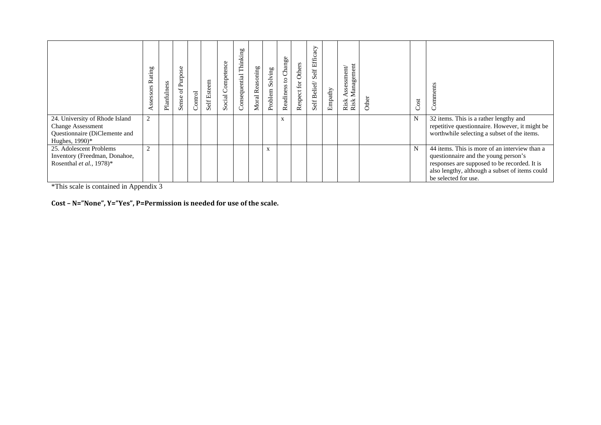|                                                                                                               | ъŋ<br>₫<br>άü<br>≃<br>ssessors | S<br>Planfulnes | urpose<br>≏<br>$_{\rm of}$<br>Sense | Control | steem<br>Self E | Social Competence | Thinking<br>Consequential | Moral Reasoning | Problem Solving | Readiness to Change | Respect for Others | Self Efficacy<br>Self Belief/ | Empathy | Management<br>ssessment<br>≺<br>Risk<br>Risk | Other | Cost | Conner                                                                                                                                                                                                          |
|---------------------------------------------------------------------------------------------------------------|--------------------------------|-----------------|-------------------------------------|---------|-----------------|-------------------|---------------------------|-----------------|-----------------|---------------------|--------------------|-------------------------------|---------|----------------------------------------------|-------|------|-----------------------------------------------------------------------------------------------------------------------------------------------------------------------------------------------------------------|
| 24. University of Rhode Island<br><b>Change Assessment</b><br>Questionnaire (DiClemente and<br>Hughes, 1990)* | 2                              |                 |                                     |         |                 |                   |                           |                 |                 | X                   |                    |                               |         |                                              |       | N    | 32 items. This is a rather lengthy and<br>repetitive questionnaire. However, it might be<br>worthwhile selecting a subset of the items.                                                                         |
| 25. Adolescent Problems<br>Inventory (Freedman, Donahoe,<br>Rosenthal et al., 1978)*                          | ◠                              |                 |                                     |         |                 |                   |                           |                 | X               |                     |                    |                               |         |                                              |       | N    | 44 items. This is more of an interview than a<br>questionnaire and the young person's<br>responses are supposed to be recorded. It is<br>also lengthy, although a subset of items could<br>be selected for use. |

\*This scale is contained in Appendix 3

**Cost – N="None", Y="Yes", P=Permission is needed for use of the scale.**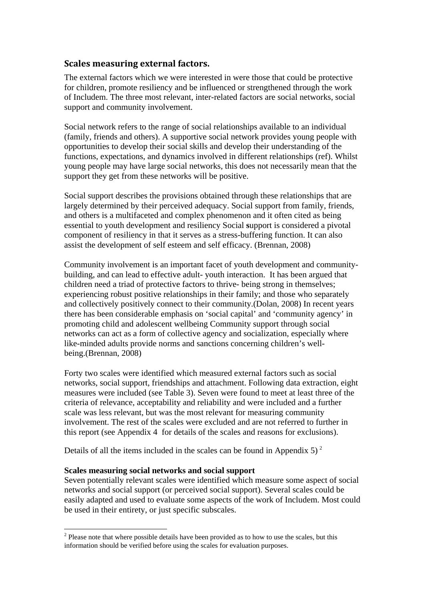### **Scales measuring external factors.**

The external factors which we were interested in were those that could be protective for children, promote resiliency and be influenced or strengthened through the work of Includem. The three most relevant, inter-related factors are social networks, social support and community involvement.

Social network refers to the range of social relationships available to an individual (family, friends and others). A supportive social network provides young people with opportunities to develop their social skills and develop their understanding of the functions, expectations, and dynamics involved in different relationships (ref). Whilst young people may have large social networks, this does not necessarily mean that the support they get from these networks will be positive.

Social support describes the provisions obtained through these relationships that are largely determined by their perceived adequacy. Social support from family, friends, and others is a multifaceted and complex phenomenon and it often cited as being essential to youth development and resiliency Social **s**upport is considered a pivotal component of resiliency in that it serves as a stress-buffering function. It can also assist the development of self esteem and self efficacy. (Brennan, 2008)

Community involvement is an important facet of youth development and communitybuilding, and can lead to effective adult- youth interaction. It has been argued that children need a triad of protective factors to thrive- being strong in themselves; experiencing robust positive relationships in their family; and those who separately and collectively positively connect to their community.(Dolan, 2008) In recent years there has been considerable emphasis on 'social capital' and 'community agency' in promoting child and adolescent wellbeing Community support through social networks can act as a form of collective agency and socialization, especially where like-minded adults provide norms and sanctions concerning children's wellbeing.(Brennan, 2008)

Forty two scales were identified which measured external factors such as social networks, social support, friendships and attachment. Following data extraction, eight measures were included (see Table 3). Seven were found to meet at least three of the criteria of relevance, acceptability and reliability and were included and a further scale was less relevant, but was the most relevant for measuring community involvement. The rest of the scales were excluded and are not referred to further in this report (see Appendix 4 for details of the scales and reasons for exclusions).

Details of all the items included in the scales can be found in Appendix 5)<sup>2</sup>

#### **Scales measuring social networks and social support**

Seven potentially relevant scales were identified which measure some aspect of social networks and social support (or perceived social support). Several scales could be easily adapted and used to evaluate some aspects of the work of Includem. Most could be used in their entirety, or just specific subscales.

<sup>&</sup>lt;u>.</u>  $2^2$  Please note that where possible details have been provided as to how to use the scales, but this information should be verified before using the scales for evaluation purposes.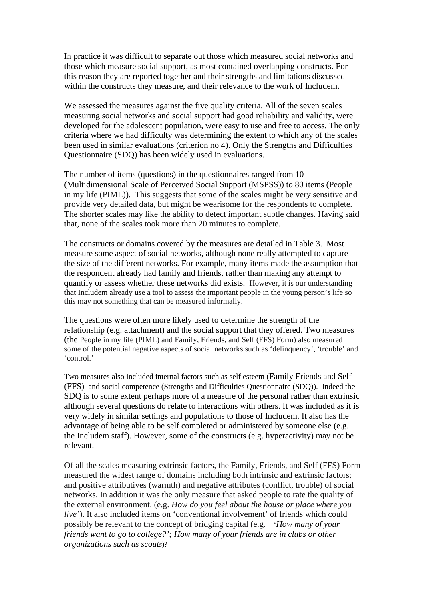In practice it was difficult to separate out those which measured social networks and those which measure social support, as most contained overlapping constructs. For this reason they are reported together and their strengths and limitations discussed within the constructs they measure, and their relevance to the work of Includem.

We assessed the measures against the five quality criteria. All of the seven scales measuring social networks and social support had good reliability and validity, were developed for the adolescent population, were easy to use and free to access. The only criteria where we had difficulty was determining the extent to which any of the scales been used in similar evaluations (criterion no 4). Only the Strengths and Difficulties Questionnaire (SDQ) has been widely used in evaluations.

The number of items (questions) in the questionnaires ranged from 10 (Multidimensional Scale of Perceived Social Support (MSPSS)) to 80 items (People in my life (PIML)). This suggests that some of the scales might be very sensitive and provide very detailed data, but might be wearisome for the respondents to complete. The shorter scales may like the ability to detect important subtle changes. Having said that, none of the scales took more than 20 minutes to complete.

The constructs or domains covered by the measures are detailed in Table 3. Most measure some aspect of social networks, although none really attempted to capture the size of the different networks. For example, many items made the assumption that the respondent already had family and friends, rather than making any attempt to quantify or assess whether these networks did exists. However, it is our understanding that Includem already use a tool to assess the important people in the young person's life so this may not something that can be measured informally.

The questions were often more likely used to determine the strength of the relationship (e.g. attachment) and the social support that they offered. Two measures (the People in my life (PIML) and Family, Friends, and Self (FFS) Form) also measured some of the potential negative aspects of social networks such as 'delinquency', 'trouble' and 'control.'

Two measures also included internal factors such as self esteem (Family Friends and Self (FFS) and social competence (Strengths and Difficulties Questionnaire (SDQ)). Indeed the SDQ is to some extent perhaps more of a measure of the personal rather than extrinsic although several questions do relate to interactions with others. It was included as it is very widely in similar settings and populations to those of Includem. It also has the advantage of being able to be self completed or administered by someone else (e.g. the Includem staff). However, some of the constructs (e.g. hyperactivity) may not be relevant.

Of all the scales measuring extrinsic factors, the Family, Friends, and Self (FFS) Form measured the widest range of domains including both intrinsic and extrinsic factors; and positive attributives (warmth) and negative attributes (conflict, trouble) of social networks. In addition it was the only measure that asked people to rate the quality of the external environment. (e.g. *How do you feel about the house or place where you live'*). It also included items on 'conventional involvement' of friends which could possibly be relevant to the concept of bridging capital (e.g. '*How many of your friends want to go to college?'; How many of your friends are in clubs or other organizations such as scouts*)?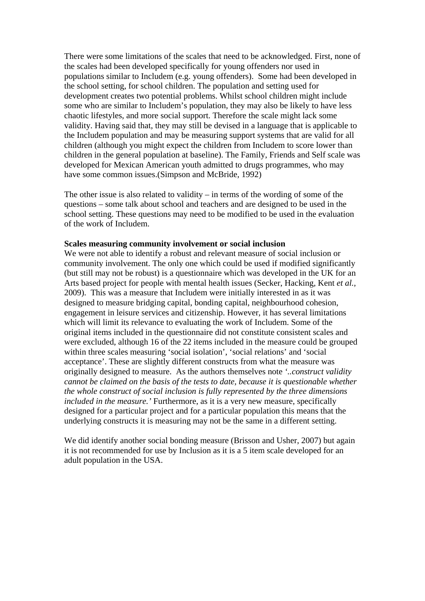There were some limitations of the scales that need to be acknowledged. First, none of the scales had been developed specifically for young offenders nor used in populations similar to Includem (e.g. young offenders). Some had been developed in the school setting, for school children. The population and setting used for development creates two potential problems. Whilst school children might include some who are similar to Includem's population, they may also be likely to have less chaotic lifestyles, and more social support. Therefore the scale might lack some validity. Having said that, they may still be devised in a language that is applicable to the Includem population and may be measuring support systems that are valid for all children (although you might expect the children from Includem to score lower than children in the general population at baseline). The Family, Friends and Self scale was developed for Mexican American youth admitted to drugs programmes, who may have some common issues.(Simpson and McBride, 1992)

The other issue is also related to validity – in terms of the wording of some of the questions – some talk about school and teachers and are designed to be used in the school setting. These questions may need to be modified to be used in the evaluation of the work of Includem.

#### **Scales measuring community involvement or social inclusion**

We were not able to identify a robust and relevant measure of social inclusion or community involvement. The only one which could be used if modified significantly (but still may not be robust) is a questionnaire which was developed in the UK for an Arts based project for people with mental health issues (Secker, Hacking, Kent *et al.,* 2009). This was a measure that Includem were initially interested in as it was designed to measure bridging capital, bonding capital, neighbourhood cohesion, engagement in leisure services and citizenship. However, it has several limitations which will limit its relevance to evaluating the work of Includem. Some of the original items included in the questionnaire did not constitute consistent scales and were excluded, although 16 of the 22 items included in the measure could be grouped within three scales measuring 'social isolation', 'social relations' and 'social acceptance'. These are slightly different constructs from what the measure was originally designed to measure. As the authors themselves note *'..construct validity cannot be claimed on the basis of the tests to date, because it is questionable whether the whole construct of social inclusion is fully represented by the three dimensions included in the measure.'* Furthermore, as it is a very new measure, specifically designed for a particular project and for a particular population this means that the underlying constructs it is measuring may not be the same in a different setting.

We did identify another social bonding measure (Brisson and Usher, 2007) but again it is not recommended for use by Inclusion as it is a 5 item scale developed for an adult population in the USA.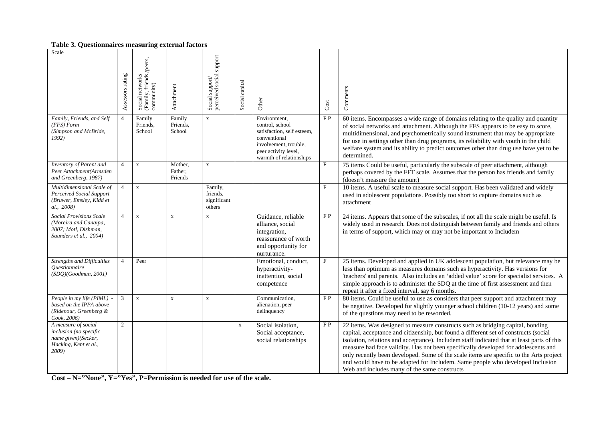#### **Table 3. Questionnaires measuring external factors**

| Scale                                                                                                     | Assessors rating | Social networks<br>(Family, friends,/peers,<br>community) | Attachment                    | perceived social support<br>Social support/  | Social capital | Other                                                                                                                                                     | Cost         | Comments                                                                                                                                                                                                                                                                                                                                                                                                                                                                                                                                                                               |
|-----------------------------------------------------------------------------------------------------------|------------------|-----------------------------------------------------------|-------------------------------|----------------------------------------------|----------------|-----------------------------------------------------------------------------------------------------------------------------------------------------------|--------------|----------------------------------------------------------------------------------------------------------------------------------------------------------------------------------------------------------------------------------------------------------------------------------------------------------------------------------------------------------------------------------------------------------------------------------------------------------------------------------------------------------------------------------------------------------------------------------------|
| Family, Friends, and Self<br>(FFS) Form<br>(Simpson and McBride,<br>1992)                                 | $\overline{4}$   | Family<br>Friends.<br>School                              | Family<br>Friends,<br>School  | $\mathbf X$                                  |                | Environment,<br>control, school<br>satisfaction, self esteem,<br>conventional<br>involvement, trouble,<br>peer activity level,<br>warmth of relationships | FP           | 60 items. Encompasses a wide range of domains relating to the quality and quantity<br>of social networks and attachment. Although the FFS appears to be easy to score,<br>multidimensional, and psychometrically sound instrument that may be appropriate<br>for use in settings other than drug programs, its reliability with youth in the child<br>welfare system and its ability to predict outcomes other than drug use have yet to be<br>determined.                                                                                                                             |
| Inventory of Parent and<br>Peer Attachment(Armsden<br>and Greenberg, 1987)                                | $\overline{4}$   | $\mathbf X$                                               | Mother,<br>Father,<br>Friends | $\mathbf x$                                  |                |                                                                                                                                                           | $\mathbf{F}$ | 75 items Could be useful, particularly the subscale of peer attachment, although<br>perhaps covered by the FFT scale. Assumes that the person has friends and family<br>(doesn't measure the amount)                                                                                                                                                                                                                                                                                                                                                                                   |
| Multidimensional Scale of<br>Perceived Social Support<br>(Bruwer, Emsley, Kidd et<br>al., 2008)           | $\overline{4}$   | $\mathbf x$                                               |                               | Family,<br>friends.<br>significant<br>others |                |                                                                                                                                                           | $\mathbf{F}$ | 10 items. A useful scale to measure social support. Has been validated and widely<br>used in adolescent populations. Possibly too short to capture domains such as<br>attachment                                                                                                                                                                                                                                                                                                                                                                                                       |
| <b>Social Provisions Scale</b><br>(Moreira and Canaipa,<br>2007; Motl, Dishman,<br>Saunders et al., 2004) | $\overline{4}$   | $\mathbf X$                                               | $\mathbf{x}$                  | $\mathbf x$                                  |                | Guidance, reliable<br>alliance, social<br>integration,<br>reassurance of worth<br>and opportunity for<br>nurturance.                                      | ${\rm F}$ P  | 24 items. Appears that some of the subscales, if not all the scale might be useful. Is<br>widely used in research. Does not distinguish between family and friends and others<br>in terms of support, which may or may not be important to Includem                                                                                                                                                                                                                                                                                                                                    |
| <b>Strengths and Difficulties</b><br>Questionnaire<br>(SDO)(Goodman, 2001)                                | $\overline{4}$   | Peer                                                      |                               |                                              |                | Emotional, conduct,<br>hyperactivity-<br>inattention, social<br>competence                                                                                | $\mathbf{F}$ | 25 items. Developed and applied in UK adolescent population, but relevance may be<br>less than optimum as measures domains such as hyperactivity. Has versions for<br>'teachers' and parents. Also includes an 'added value' score for specialist services. A<br>simple approach is to administer the SDQ at the time of first assessment and then<br>repeat it after a fixed interval, say 6 months.                                                                                                                                                                                  |
| People in my life (PIML)<br>based on the IPPA above<br>(Ridenour, Greenberg &<br>Cook, 2006)              | 3                | $\mathbf x$                                               | $\mathbf X$                   | $\mathbf X$                                  |                | Communication,<br>alienation, peer<br>delinquency                                                                                                         | FP           | 80 items. Could be useful to use as considers that peer support and attachment may<br>be negative. Developed for slightly younger school children (10-12 years) and some<br>of the questions may need to be reworded.                                                                                                                                                                                                                                                                                                                                                                  |
| A measure of social<br>inclusion (no specific<br>name given)(Secker,<br>Hacking, Kent et al.,<br>2009)    | 2                |                                                           |                               |                                              | $\mathbf X$    | Social isolation,<br>Social acceptance,<br>social relationships                                                                                           | FP           | 22 items. Was designed to measure constructs such as bridging capital, bonding<br>capital, acceptance and citizenship, but found a different set of constructs (social<br>isolation, relations and acceptance). Includem staff indicated that at least parts of this<br>measure had face validity. Has not been specifically developed for adolescents and<br>only recently been developed. Some of the scale items are specific to the Arts project<br>and would have to be adapted for Includem. Same people who developed Inclusion<br>Web and includes many of the same constructs |

**Cost – N="None", Y="Yes", P=Permission is needed for use of the scale.**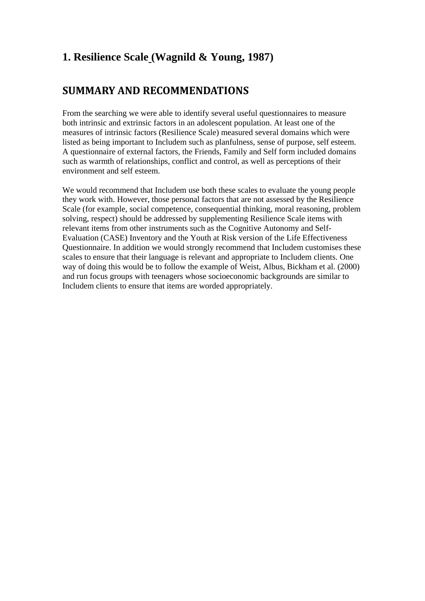## **SUMMARY AND RECOMMENDATIONS**

From the searching we were able to identify several useful questionnaires to measure both intrinsic and extrinsic factors in an adolescent population. At least one of the measures of intrinsic factors (Resilience Scale) measured several domains which were listed as being important to Includem such as planfulness, sense of purpose, self esteem. A questionnaire of external factors, the Friends, Family and Self form included domains such as warmth of relationships, conflict and control, as well as perceptions of their environment and self esteem.

We would recommend that Includem use both these scales to evaluate the young people they work with. However, those personal factors that are not assessed by the Resilience Scale (for example, social competence, consequential thinking, moral reasoning, problem solving, respect) should be addressed by supplementing Resilience Scale items with relevant items from other instruments such as the Cognitive Autonomy and Self-Evaluation (CASE) Inventory and the Youth at Risk version of the Life Effectiveness Questionnaire. In addition we would strongly recommend that Includem customises these scales to ensure that their language is relevant and appropriate to Includem clients. One way of doing this would be to follow the example of Weist, Albus, Bickham et al. (2000) and run focus groups with teenagers whose socioeconomic backgrounds are similar to Includem clients to ensure that items are worded appropriately.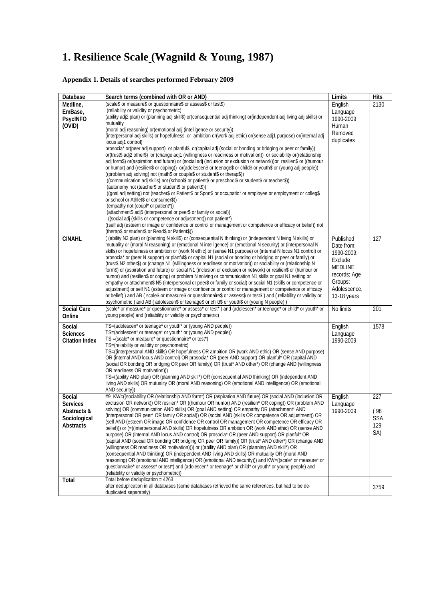### **Appendix 1. Details of searches performed February 2009**

| Database                                                              | Search terms (combined with OR or AND)                                                                                                                                                                                                                                                                                                                                                                                                                                                                                                                                                                                                                                                                                                                                                                                                                                                                                                                                                                                                                                                                                                                                                                                                                                                                                                                                                                                                                                                                                                                                                                                                                                                                        | Limits                                                                                                                       | <b>Hits</b>                             |
|-----------------------------------------------------------------------|---------------------------------------------------------------------------------------------------------------------------------------------------------------------------------------------------------------------------------------------------------------------------------------------------------------------------------------------------------------------------------------------------------------------------------------------------------------------------------------------------------------------------------------------------------------------------------------------------------------------------------------------------------------------------------------------------------------------------------------------------------------------------------------------------------------------------------------------------------------------------------------------------------------------------------------------------------------------------------------------------------------------------------------------------------------------------------------------------------------------------------------------------------------------------------------------------------------------------------------------------------------------------------------------------------------------------------------------------------------------------------------------------------------------------------------------------------------------------------------------------------------------------------------------------------------------------------------------------------------------------------------------------------------------------------------------------------------|------------------------------------------------------------------------------------------------------------------------------|-----------------------------------------|
| Medline,<br>EmBase.<br><b>PsycINFO</b><br>(OVID)                      | (scale\$ or measure\$ or questionnaire\$ or assess\$ or test\$)<br>(reliability or validity or psychometric)<br>(ability adj2 plan) or (planning adj skill\$) or (consequential adj thinking) or (independent adj living adj skills) or<br>mutuality<br>(moral adj reasoning) or (emotional adj (intelligence or security))<br>(interpersonal adj skills) or hopefulness or ambition or (work adj ethic) or (sense adj1 purpose) or (internal adj<br>locus adj1 control)<br>prosocia* or(peer adj support) or planful\$ or(capital adj (social or bonding or bridging or peer or family))<br>or(trust\$ adj2 other\$) or (change adj1 (willingness or readiness or motivation)) or sociability or(relationship<br>adj form\$) or(aspiration and future) or (social adj (inclusion or exclusion or network))or resilien\$ or ((humour<br>or humor) and (resilien\$ or coping)) or(adolescen\$ or teenage\$ or child\$ or youth\$ or (young adj people))<br>((problem adj solving) not (math\$ or couple\$ or student\$ or therap\$))<br>((communication adj skills) not (school\$ or patient\$ or preschool\$ or student\$ or teacher\$))<br>(autonomy not (teacher\$ or student\$ or patient\$))<br>((goal adj setting) not (teacher\$ or Patient\$ or Sport\$ or occupatio* or employee or employment or colleg\$<br>or school or Athlet\$ or consumer\$))<br>(empathy not (coupl* or patient*))<br>(attachment\$ adj5 (interpersonal or peer\$ or family or social))<br>((social adj (skills or competence or adjustment)) not patient*)<br>((self adj (esteem or image or confidence or control or management or competence or efficacy or belief)) not<br>(therap\$ or student\$ or Read\$ or Patient\$)) | English<br>Language<br>1990-2009<br>Human<br>Removed<br>duplicates                                                           | 2130                                    |
| <b>CINAHL</b>                                                         | ((ability N2 plan) or (planning N skill\$) or (consequential N thinking) or (independent N living N skills) or<br>mutuality or (moral N reasoning) or (emotional N intelligence) or (emotional N security) or (interpersonal N<br>skills) or hopefulness or ambition or (work N ethic) or (sense N1 purpose) or (internal N locus N1 control) or<br>prosocia* or (peer N support) or planful\$ or capital N1 (social or bonding or bridging or peer or family) or<br>(trust\$ N2 other\$) or (change N1 (willingness or readiness or motivation)) or sociability or (relationship N<br>form\$) or (aspiration and future) or social N1 (inclusion or exclusion or network) or resilien\$ or (humour or<br>humor) and (resilien\$ or coping) or problem N solving or communication N1 skills or goal N1 setting or<br>empathy or attachment\$ N5 (interpersonal or peer\$ or family or social) or social N1 (skills or competence or<br>adjustment) or self N1 (esteem or image or confidence or control or management or competence or efficacy<br>or belief) and AB (scale\$ or measure\$ or questionnaire\$ or assess\$ or test\$) and (reliability or validity or<br>psychometric) and AB (adolescen\$ or teenage\$ or child\$ or youth\$ or (young N people))                                                                                                                                                                                                                                                                                                                                                                                                                                             | Published<br>Date from:<br>1990-2009:<br>Exclude<br><b>MEDLINE</b><br>records; Age<br>Groups:<br>Adolescence,<br>13-18 years | 127                                     |
| <b>Social Care</b><br>Online                                          | (scale* or measure* or questionnaire* or assess* or test*) and (adolescen* or teenage* or child* or youth* or<br>young people) and (reliability or validity or psychometric)                                                                                                                                                                                                                                                                                                                                                                                                                                                                                                                                                                                                                                                                                                                                                                                                                                                                                                                                                                                                                                                                                                                                                                                                                                                                                                                                                                                                                                                                                                                                  | No limits                                                                                                                    | 201                                     |
| Social<br><b>Sciences</b><br><b>Citation Index</b>                    | TS=(adolescen* or teenage* or youth* or (young AND people))<br>TS=(adolescen* or teenage* or youth* or (young AND people))<br>TS =(scale* or measure* or questionnaire* or test*)<br>TS=(reliability or validity or psychometric)<br>TS=((interpersonal AND skills) OR hopefulness OR ambition OR (work AND ethic) OR (sense AND purpose)<br>OR (internal AND locus AND control) OR prosocia* OR (peer AND support) OR planful* OR (capital AND<br>(social OR bonding OR bridging OR peer OR family)) OR (trust* AND other*) OR (change AND (willingness<br>OR readiness OR motivation)))<br>TS=((ability AND plan) OR (planning AND skill*) OR (consequential AND thinking) OR (independent AND<br>living AND skills) OR mutuality OR (moral AND reasoning) OR (emotional AND intelligence) OR (emotional<br>AND security))                                                                                                                                                                                                                                                                                                                                                                                                                                                                                                                                                                                                                                                                                                                                                                                                                                                                                  | English<br>Language<br>1990-2009                                                                                             | 1578                                    |
| Social<br><b>Services</b><br>Abstracts &<br>Sociological<br>Abstracts | #9 KW=((sociability OR (relationship AND form*) OR (aspiration AND future) OR (social AND (inclusion OR<br>exclusion OR network)) OR resilien* OR ((humour OR humor) AND (resilien* OR coping)) OR (problem AND<br>solving) OR (communication AND skills) OR (goal AND setting) OR empathy OR (attachment* AND<br>(interpersonal OR peer* OR family OR social)) OR (social AND (skills OR competence OR adjustment)) OR<br>(self AND (esteem OR image OR confidence OR control OR management OR competence OR efficacy OR<br>belief))) or (=((interpersonal AND skills) OR hopefulness OR ambition OR (work AND ethic) OR (sense AND<br>purpose) OR (internal AND locus AND control) OR prosocia* OR (peer AND support) OR planful* OR<br>(capital AND (social OR bonding OR bridging OR peer OR family)) OR (trust* AND other*) OR (change AND<br>(willingness OR readiness OR motivation)))) or ((ability AND plan) OR (planning AND skill*) OR<br>(consequential AND thinking) OR (independent AND living AND skills) OR mutuality OR (moral AND<br>reasoning) OR (emotional AND intelligence) OR (emotional AND security))) and KW=((scale* or measure* or<br>questionnaire* or assess* or test*) and (adolescen* or teenage* or child* or youth* or young people) and<br>(reliability or validity or psychometric))                                                                                                                                                                                                                                                                                                                                                                                      | English<br>Language<br>1990-2009                                                                                             | 227<br>(98)<br><b>SSA</b><br>129<br>SA) |
| Total                                                                 | Total before $\overline{\text{deduplication}} = 4263$<br>after deduplication in all databases (some databases retrieved the same references, but had to be de-<br>duplicated separately)                                                                                                                                                                                                                                                                                                                                                                                                                                                                                                                                                                                                                                                                                                                                                                                                                                                                                                                                                                                                                                                                                                                                                                                                                                                                                                                                                                                                                                                                                                                      |                                                                                                                              | 3759                                    |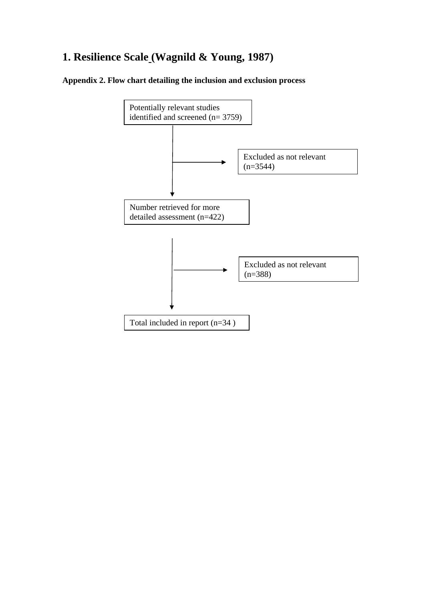**Appendix 2. Flow chart detailing the inclusion and exclusion process** 

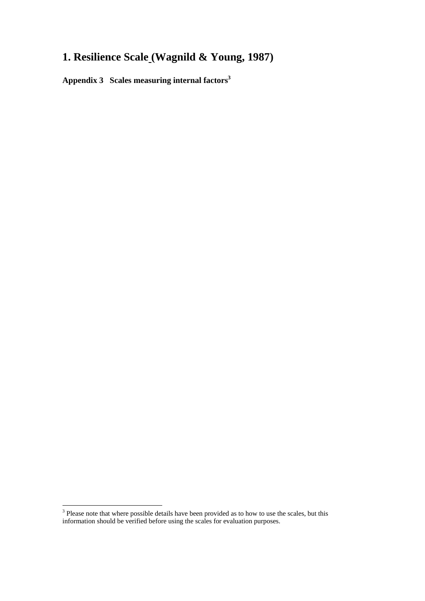**Appendix 3 Scales measuring internal factors3**

<sup>&</sup>lt;sup>3</sup> Please note that where possible details have been provided as to how to use the scales, but this information should be verified before using the scales for evaluation purposes.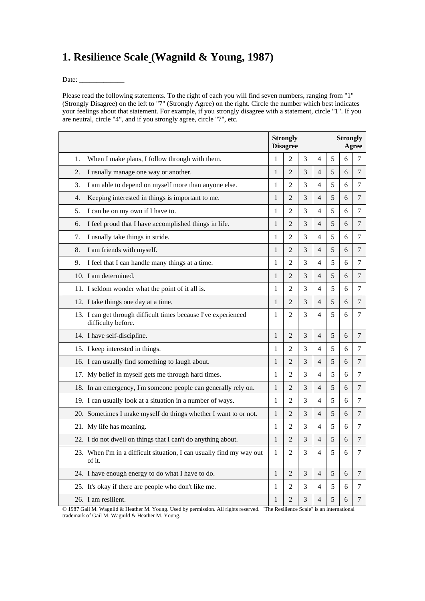Date:  $\_\_$ 

Please read the following statements. To the right of each you will find seven numbers, ranging from "1" (Strongly Disagree) on the left to "7" (Strongly Agree) on the right. Circle the number which best indicates your feelings about that statement. For example, if you strongly disagree with a statement, circle "1". If you are neutral, circle "4", and if you strongly agree, circle "7", etc.

|                                                                                      |              | <b>Strongly</b><br><b>Disagree</b> |   |                |   | <b>Strongly</b> | Agree          |
|--------------------------------------------------------------------------------------|--------------|------------------------------------|---|----------------|---|-----------------|----------------|
| 1.<br>When I make plans, I follow through with them.                                 | 1            | $\overline{2}$                     | 3 | $\overline{4}$ | 5 | 6               | $\overline{7}$ |
| 2.<br>I usually manage one way or another.                                           | 1            | $\overline{2}$                     | 3 | 4              | 5 | 6               | $\tau$         |
| I am able to depend on myself more than anyone else.<br>3.                           | 1            | $\overline{2}$                     | 3 | 4              | 5 | 6               | $\tau$         |
| Keeping interested in things is important to me.<br>4.                               | 1            | 2                                  | 3 | $\overline{4}$ | 5 | 6               | 7              |
| I can be on my own if I have to.<br>5.                                               | 1            | 2                                  | 3 | 4              | 5 | 6               | $\tau$         |
| I feel proud that I have accomplished things in life.<br>6.                          | $\mathbf{1}$ | $\overline{2}$                     | 3 | 4              | 5 | 6               | $\tau$         |
| I usually take things in stride.<br>7.                                               | 1            | 2                                  | 3 | 4              | 5 | 6               | 7              |
| 8.<br>I am friends with myself.                                                      | 1            | $\overline{c}$                     | 3 | $\overline{4}$ | 5 | 6               | 7              |
| 9.<br>I feel that I can handle many things at a time.                                | 1            | $\overline{c}$                     | 3 | $\overline{4}$ | 5 | 6               | 7              |
| 10. I am determined.                                                                 | 1            | $\overline{2}$                     | 3 | $\overline{4}$ | 5 | 6               | 7              |
| 11. I seldom wonder what the point of it all is.                                     | 1            | $\overline{c}$                     | 3 | 4              | 5 | 6               | $\tau$         |
| 12. I take things one day at a time.                                                 | 1            | $\overline{2}$                     | 3 | $\overline{4}$ | 5 | 6               | $\tau$         |
| 13. I can get through difficult times because I've experienced<br>difficulty before. | 1            | 2                                  | 3 | 4              | 5 | 6               | 7              |
| 14. I have self-discipline.                                                          | 1            | $\overline{2}$                     | 3 | $\overline{4}$ | 5 | 6               | $\tau$         |
| 15. I keep interested in things.                                                     | 1            | $\overline{c}$                     | 3 | 4              | 5 | 6               | $\tau$         |
| 16. I can usually find something to laugh about.                                     | 1            | $\overline{2}$                     | 3 | $\overline{4}$ | 5 | 6               | $\tau$         |
| 17. My belief in myself gets me through hard times.                                  | 1            | 2                                  | 3 | 4              | 5 | 6               | 7              |
| 18. In an emergency, I'm someone people can generally rely on.                       | 1            | 2                                  | 3 | 4              | 5 | 6               | 7              |
| 19. I can usually look at a situation in a number of ways.                           | 1            | 2                                  | 3 | 4              | 5 | 6               | 7              |
| 20. Sometimes I make myself do things whether I want to or not.                      | 1            | $\overline{2}$                     | 3 | 4              | 5 | 6               | $\tau$         |
| 21. My life has meaning.                                                             | 1            | $\overline{c}$                     | 3 | 4              | 5 | 6               | $\tau$         |
| 22. I do not dwell on things that I can't do anything about.                         | 1            | $\overline{c}$                     | 3 | 4              | 5 | 6               | 7              |
| 23. When I'm in a difficult situation, I can usually find my way out<br>of it.       | 1            | 2                                  | 3 | 4              | 5 | 6               |                |
| 24. I have enough energy to do what I have to do.                                    | $\mathbf{1}$ | $\overline{c}$                     | 3 | $\overline{4}$ | 5 | 6               | 7              |
| 25. It's okay if there are people who don't like me.                                 | 1            | $\overline{c}$                     | 3 | 4              | 5 | 6               | 7              |
| 26. I am resilient.                                                                  | 1            | $\sqrt{2}$                         | 3 | $\overline{4}$ | 5 | 6               | $\tau$         |

© 1987 Gail M. Wagnild & Heather M. Young. Used by permission. All rights reserved. "The Resilience Scale" is an international trademark of Gail M. Wagnild & Heather M. Young.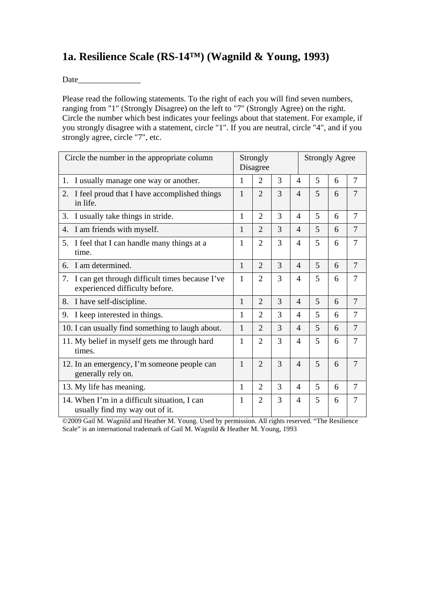## **1a. Resilience Scale (RS-14™) (Wagnild & Young, 1993)**

Date  $\Box$ 

Please read the following statements. To the right of each you will find seven numbers, ranging from "1" (Strongly Disagree) on the left to "7" (Strongly Agree) on the right. Circle the number which best indicates your feelings about that statement. For example, if you strongly disagree with a statement, circle "1". If you are neutral, circle "4", and if you strongly agree, circle "7", etc.

| Circle the number in the appropriate column                                         |              | Strongly<br>Disagree |               |                | <b>Strongly Agree</b> |   |                |
|-------------------------------------------------------------------------------------|--------------|----------------------|---------------|----------------|-----------------------|---|----------------|
| I usually manage one way or another.<br>1.                                          | 1            | $\overline{2}$       | 3             | 4              | 5                     | 6 | 7              |
| I feel proud that I have accomplished things<br>2.<br>in life.                      | $\mathbf{1}$ | $\overline{2}$       | 3             | 4              | 5                     | 6 | $\overline{7}$ |
| I usually take things in stride.<br>3.                                              | 1            | $\overline{2}$       | 3             | 4              | 5                     | 6 | 7              |
| I am friends with myself.<br>4.                                                     | 1            | $\overline{2}$       | 3             | 4              | 5                     | 6 | $\overline{7}$ |
| I feel that I can handle many things at a<br>5.<br>time.                            | $\mathbf{1}$ | $\overline{2}$       | 3             | $\overline{4}$ | 5                     | 6 | $\overline{7}$ |
| I am determined.<br>6.                                                              | 1            | $\overline{2}$       | 3             | 4              | 5                     | 6 | 7              |
| 7. I can get through difficult times because I've<br>experienced difficulty before. | $\mathbf{1}$ | $\overline{2}$       | 3             | 4              | 5                     | 6 | $\tau$         |
| I have self-discipline.<br>8.                                                       | 1            | $\overline{2}$       | 3             | 4              | 5                     | 6 | 7              |
| I keep interested in things.<br>9.                                                  | $\mathbf{1}$ | $\overline{2}$       | $\mathcal{F}$ | 4              | 5                     | 6 | 7              |
| 10. I can usually find something to laugh about.                                    | $\mathbf{1}$ | $\overline{2}$       | 3             | 4              | 5                     | 6 | 7              |
| 11. My belief in myself gets me through hard<br>times.                              | 1            | $\overline{2}$       | 3             | 4              | 5                     | 6 | $\overline{7}$ |
| 12. In an emergency, I'm someone people can<br>generally rely on.                   | $\mathbf{1}$ | $\overline{2}$       | 3             | 4              | 5                     | 6 | $\tau$         |
| 13. My life has meaning.                                                            | 1            | $\overline{2}$       | 3             | $\overline{4}$ | 5                     | 6 | 7              |
| 14. When I'm in a difficult situation, I can<br>usually find my way out of it.      | 1            | $\overline{2}$       | 3             | 4              | 5                     | 6 | $\overline{7}$ |

©2009 Gail M. Wagnild and Heather M. Young. Used by permission. All rights reserved. "The Resilience Scale" is an international trademark of Gail M. Wagnild & Heather M. Young, 1993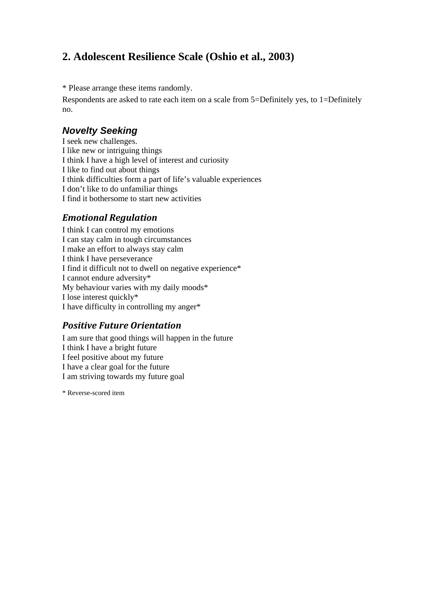## **2. Adolescent Resilience Scale (Oshio et al., 2003)**

\* Please arrange these items randomly.

Respondents are asked to rate each item on a scale from 5=Definitely yes, to 1=Definitely no.

### *Novelty Seeking*

I seek new challenges. I like new or intriguing things I think I have a high level of interest and curiosity I like to find out about things I think difficulties form a part of life's valuable experiences I don't like to do unfamiliar things I find it bothersome to start new activities

## *Emotional Regulation*

I think I can control my emotions I can stay calm in tough circumstances I make an effort to always stay calm I think I have perseverance I find it difficult not to dwell on negative experience\* I cannot endure adversity\* My behaviour varies with my daily moods\* I lose interest quickly\* I have difficulty in controlling my anger\*

### *Positive Future Orientation*

I am sure that good things will happen in the future I think I have a bright future I feel positive about my future I have a clear goal for the future I am striving towards my future goal

\* Reverse-scored item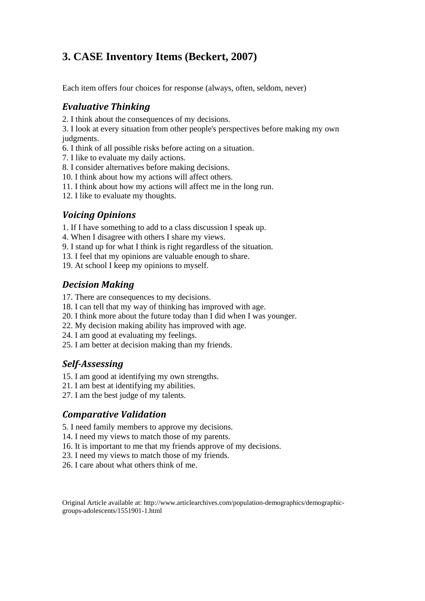## **3. CASE Inventory Items (Beckert, 2007)**

Each item offers four choices for response (always, often, seldom, never)

### *Evaluative Thinking*

2. I think about the consequences of my decisions.

3. I look at every situation from other people's perspectives before making my own judgments.

- 6. I think of all possible risks before acting on a situation.
- 7. I like to evaluate my daily actions.
- 8. I consider alternatives before making decisions.
- 10. I think about how my actions will affect others.
- 11. I think about how my actions will affect me in the long run.
- 12. I like to evaluate my thoughts.

### *Voicing Opinions*

- 1. If I have something to add to a class discussion I speak up.
- 4. When I disagree with others I share my views.
- 9. I stand up for what I think is right regardless of the situation.
- 13. I feel that my opinions are valuable enough to share.
- 19. At school I keep my opinions to myself.

### *Decision Making*

- 17. There are consequences to my decisions.
- 18. I can tell that my way of thinking has improved with age.
- 20. I think more about the future today than I did when I was younger.
- 22. My decision making ability has improved with age.
- 24. I am good at evaluating my feelings.
- 25. I am better at decision making than my friends.

### *Self‐Assessing*

- 15. I am good at identifying my own strengths.
- 21. I am best at identifying my abilities.
- 27. I am the best judge of my talents.

### *Comparative Validation*

5. I need family members to approve my decisions.

- 14. I need my views to match those of my parents.
- 16. It is important to me that my friends approve of my decisions.
- 23. I need my views to match those of my friends.
- 26. I care about what others think of me.

Original Article available at: http://www.articlearchives.com/population-demographics/demographicgroups-adolescents/1551901-1.html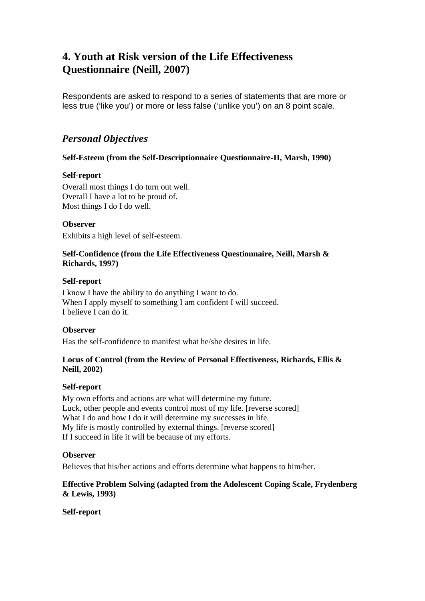Respondents are asked to respond to a series of statements that are more or less true ('like you') or more or less false ('unlike you') on an 8 point scale.

### *Personal Objectives*

#### **Self-Esteem (from the Self-Descriptionnaire Questionnaire-II, Marsh, 1990)**

#### **Self-report**

Overall most things I do turn out well. Overall I have a lot to be proud of. Most things I do I do well.

#### **Observer**

Exhibits a high level of self-esteem.

#### **Self-Confidence (from the Life Effectiveness Questionnaire, Neill, Marsh & Richards, 1997)**

#### **Self-report**

I know I have the ability to do anything I want to do. When I apply myself to something I am confident I will succeed. I believe I can do it.

#### **Observer**

Has the self-confidence to manifest what he/she desires in life.

#### **Locus of Control (from the Review of Personal Effectiveness, Richards, Ellis & Neill, 2002)**

#### **Self-report**

My own efforts and actions are what will determine my future. Luck, other people and events control most of my life. [reverse scored] What I do and how I do it will determine my successes in life. My life is mostly controlled by external things. [reverse scored] If I succeed in life it will be because of my efforts.

#### **Observer**

Believes that his/her actions and efforts determine what happens to him/her.

#### **Effective Problem Solving (adapted from the Adolescent Coping Scale, Frydenberg & Lewis, 1993)**

#### **Self-report**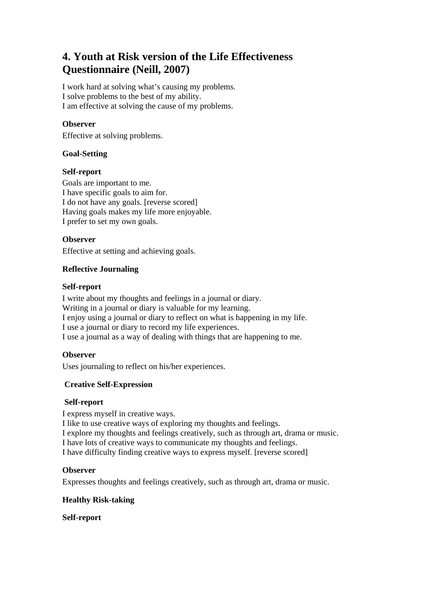I work hard at solving what's causing my problems. I solve problems to the best of my ability. I am effective at solving the cause of my problems.

#### **Observer**

Effective at solving problems.

#### **Goal-Setting**

#### **Self-report**

Goals are important to me. I have specific goals to aim for. I do not have any goals. [reverse scored] Having goals makes my life more enjoyable. I prefer to set my own goals.

#### **Observer**

Effective at setting and achieving goals.

#### **Reflective Journaling**

#### **Self-report**

I write about my thoughts and feelings in a journal or diary. Writing in a journal or diary is valuable for my learning. I enjoy using a journal or diary to reflect on what is happening in my life. I use a journal or diary to record my life experiences. I use a journal as a way of dealing with things that are happening to me.

#### **Observer**

Uses journaling to reflect on his/her experiences.

#### **Creative Self-Expression**

#### **Self-report**

I express myself in creative ways.

I like to use creative ways of exploring my thoughts and feelings.

I explore my thoughts and feelings creatively, such as through art, drama or music.

I have lots of creative ways to communicate my thoughts and feelings.

I have difficulty finding creative ways to express myself. [reverse scored]

#### **Observer**

Expresses thoughts and feelings creatively, such as through art, drama or music.

#### **Healthy Risk-taking**

**Self-report**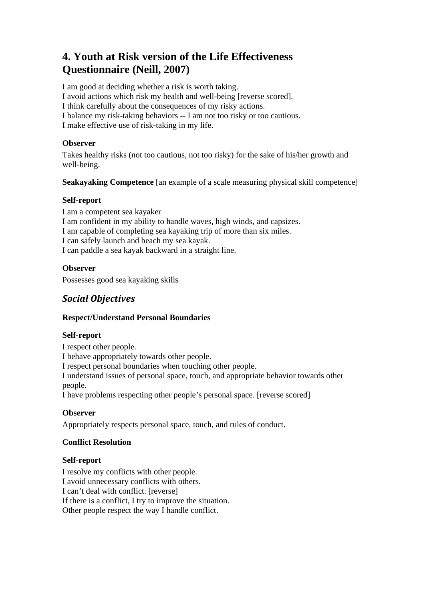I am good at deciding whether a risk is worth taking.

I avoid actions which risk my health and well-being [reverse scored].

I think carefully about the consequences of my risky actions.

I balance my risk-taking behaviors -- I am not too risky or too cautious.

I make effective use of risk-taking in my life.

#### **Observer**

Takes healthy risks (not too cautious, not too risky) for the sake of his/her growth and well-being.

**Seakayaking Competence** [an example of a scale measuring physical skill competence]

#### **Self-report**

I am a competent sea kayaker I am confident in my ability to handle waves, high winds, and capsizes. I am capable of completing sea kayaking trip of more than six miles. I can safely launch and beach my sea kayak. I can paddle a sea kayak backward in a straight line.

#### **Observer**

Possesses good sea kayaking skills

### *Social Objectives*

#### **Respect/Understand Personal Boundaries**

#### **Self-report**

I respect other people.

I behave appropriately towards other people.

I respect personal boundaries when touching other people.

I understand issues of personal space, touch, and appropriate behavior towards other people.

I have problems respecting other people's personal space. [reverse scored]

#### **Observer**

Appropriately respects personal space, touch, and rules of conduct.

#### **Conflict Resolution**

#### **Self-report**

I resolve my conflicts with other people. I avoid unnecessary conflicts with others. I can't deal with conflict. [reverse] If there is a conflict, I try to improve the situation. Other people respect the way I handle conflict.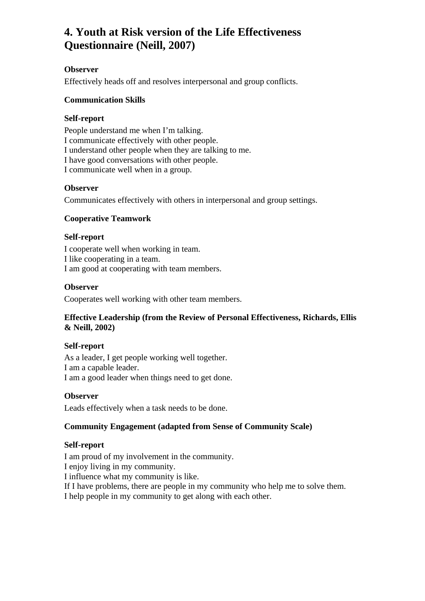#### **Observer**

Effectively heads off and resolves interpersonal and group conflicts.

#### **Communication Skills**

#### **Self-report**

People understand me when I'm talking. I communicate effectively with other people. I understand other people when they are talking to me. I have good conversations with other people. I communicate well when in a group.

#### **Observer**

Communicates effectively with others in interpersonal and group settings.

#### **Cooperative Teamwork**

#### **Self-report**

I cooperate well when working in team.

- I like cooperating in a team.
- I am good at cooperating with team members.

#### **Observer**

Cooperates well working with other team members.

#### **Effective Leadership (from the Review of Personal Effectiveness, Richards, Ellis & Neill, 2002)**

#### **Self-report**

As a leader, I get people working well together. I am a capable leader. I am a good leader when things need to get done.

#### **Observer**

Leads effectively when a task needs to be done.

#### **Community Engagement (adapted from Sense of Community Scale)**

#### **Self-report**

I am proud of my involvement in the community.

I enjoy living in my community.

I influence what my community is like.

If I have problems, there are people in my community who help me to solve them.

I help people in my community to get along with each other.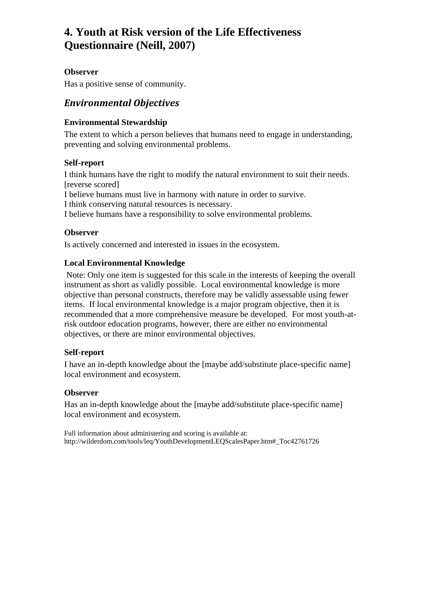### **Observer**

Has a positive sense of community.

### *Environmental Objectives*

#### **Environmental Stewardship**

The extent to which a person believes that humans need to engage in understanding, preventing and solving environmental problems.

#### **Self-report**

I think humans have the right to modify the natural environment to suit their needs. [reverse scored]

I believe humans must live in harmony with nature in order to survive.

I think conserving natural resources is necessary.

I believe humans have a responsibility to solve environmental problems.

#### **Observer**

Is actively concerned and interested in issues in the ecosystem.

#### **Local Environmental Knowledge**

 Note: Only one item is suggested for this scale in the interests of keeping the overall instrument as short as validly possible. Local environmental knowledge is more objective than personal constructs, therefore may be validly assessable using fewer items. If local environmental knowledge is a major program objective, then it is recommended that a more comprehensive measure be developed. For most youth-atrisk outdoor education programs, however, there are either no environmental objectives, or there are minor environmental objectives.

#### **Self-report**

I have an in-depth knowledge about the [maybe add/substitute place-specific name] local environment and ecosystem.

#### **Observer**

Has an in-depth knowledge about the [maybe add/substitute place-specific name] local environment and ecosystem.

Full information about administering and scoring is available at: http://wilderdom.com/tools/leq/YouthDevelopmentLEQScalesPaper.htm#\_Toc42761726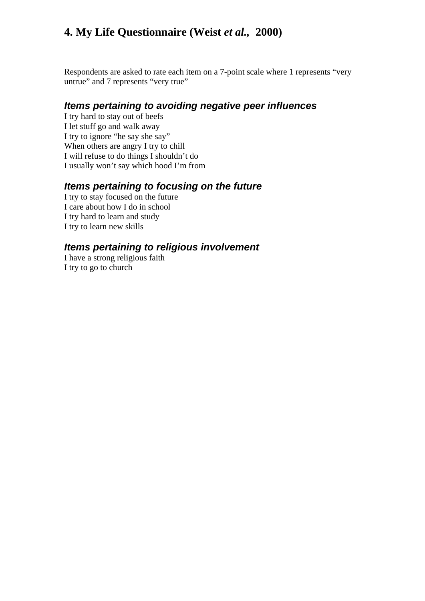## **4. My Life Questionnaire (Weist** *et al.,* **2000)**

Respondents are asked to rate each item on a 7-point scale where 1 represents "very untrue" and 7 represents "very true"

## *Items pertaining to avoiding negative peer influences*

I try hard to stay out of beefs I let stuff go and walk away I try to ignore "he say she say" When others are angry I try to chill I will refuse to do things I shouldn't do I usually won't say which hood I'm from

### *Items pertaining to focusing on the future*

I try to stay focused on the future I care about how I do in school I try hard to learn and study I try to learn new skills

### *Items pertaining to religious involvement*

I have a strong religious faith I try to go to church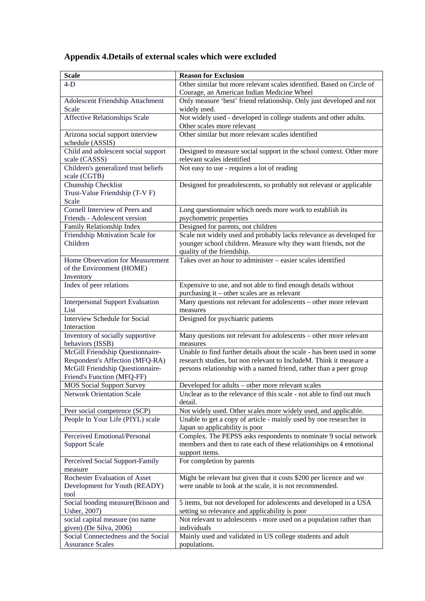## **Appendix 4.Details of external scales which were excluded**

| <b>Scale</b>                                          | <b>Reason for Exclusion</b>                                                                                       |
|-------------------------------------------------------|-------------------------------------------------------------------------------------------------------------------|
| $4-D$                                                 | Other similar but more relevant scales identified. Based on Circle of                                             |
|                                                       | Courage, an American Indian Medicine Wheel                                                                        |
| Adolescent Friendship Attachment                      | Only measure 'best' friend relationship. Only just developed and not                                              |
| Scale                                                 | widely used.                                                                                                      |
| <b>Affective Relationships Scale</b>                  | Not widely used - developed in college students and other adults.                                                 |
|                                                       | Other scales more relevant                                                                                        |
| Arizona social support interview                      | Other similar but more relevant scales identified                                                                 |
| schedule (ASSIS)                                      |                                                                                                                   |
| Child and adolescent social support                   | Designed to measure social support in the school context. Other more<br>relevant scales identified                |
| scale (CASSS)<br>Children's generalized trust beliefs | Not easy to use - requires a lot of reading                                                                       |
| scale (CGTB)                                          |                                                                                                                   |
| Chumship Checklist                                    | Designed for preadolescents, so probably not relevant or applicable                                               |
| Trust-Value Friendship (T-V F)                        |                                                                                                                   |
| Scale                                                 |                                                                                                                   |
| Cornell Interview of Peers and                        | Long questionnaire which needs more work to establish its                                                         |
| Friends - Adolescent version                          | psychometric properties                                                                                           |
| Family Relationship Index                             | Designed for parents, not children                                                                                |
| Friendship Motivation Scale for                       | Scale not widely used and probably lacks relevance as developed for                                               |
| Children                                              | younger school children. Measure why they want friends, not the                                                   |
|                                                       | quality of the friendship.                                                                                        |
| Home Observation for Measurement                      | Takes over an hour to administer – easier scales identified                                                       |
| of the Environment (HOME)                             |                                                                                                                   |
| Inventory                                             |                                                                                                                   |
| Index of peer relations                               | Expensive to use, and not able to find enough details without                                                     |
| <b>Interpersonal Support Evaluation</b>               | purchasing it – other scales are as relevant<br>Many questions not relevant for adolescents - other more relevant |
| List                                                  | measures                                                                                                          |
| <b>Interview Schedule for Social</b>                  | Designed for psychiatric patients                                                                                 |
| Interaction                                           |                                                                                                                   |
| Inventory of socially supportive                      | Many questions not relevant for adolescents - other more relevant                                                 |
| behaviors (ISSB)                                      | measures                                                                                                          |
| McGill Friendship Questionnaire-                      | Unable to find further details about the scale - has been used in some                                            |
| Respondent's Affection (MFQ-RA)                       | research studies, but non relevant to IncludeM. Think it measure a                                                |
| McGill Friendship Questionnaire-                      | persons relationship with a named friend, rather than a peer group                                                |
| Friend's Function (MFQ-FF)                            |                                                                                                                   |
| <b>MOS Social Support Survey</b>                      | Developed for adults – other more relevant scales                                                                 |
| <b>Network Orientation Scale</b>                      | Unclear as to the relevance of this scale - not able to find out much                                             |
|                                                       | detail.                                                                                                           |
| Peer social competence (SCP)                          | Not widely used. Other scales more widely used, and applicable.                                                   |
| People In Your Life (PIYL) scale                      | Unable to get a copy of article - mainly used by one researcher in<br>Japan so applicability is poor              |
| Perceived Emotional/Personal                          | Complex. The PEPSS asks respondents to nominate 9 social network                                                  |
| <b>Support Scale</b>                                  | members and then to rate each of these relationships on 4 emotional                                               |
|                                                       | support items.                                                                                                    |
| Perceived Social Support-Family                       | For completion by parents                                                                                         |
| measure                                               |                                                                                                                   |
| Rochester Evaluation of Asset                         | Might be relevant but given that it costs \$200 per licence and we                                                |
| Development for Youth (READY)                         | were unable to look at the scale, it is not recommended.                                                          |
| tool                                                  |                                                                                                                   |
| Social bonding measure(Brisson and                    | 5 items, but not developed for adolescents and developed in a USA                                                 |
| Usher, 2007)                                          | setting so relevance and applicability is poor                                                                    |
| social capital measure (no name                       | Not relevant to adolescents - more used on a population rather than                                               |
| given) (De Silva, 2006)                               | individuals                                                                                                       |
| Social Connectedness and the Social                   | Mainly used and validated in US college students and adult                                                        |
| <b>Assurance Scales</b>                               | populations.                                                                                                      |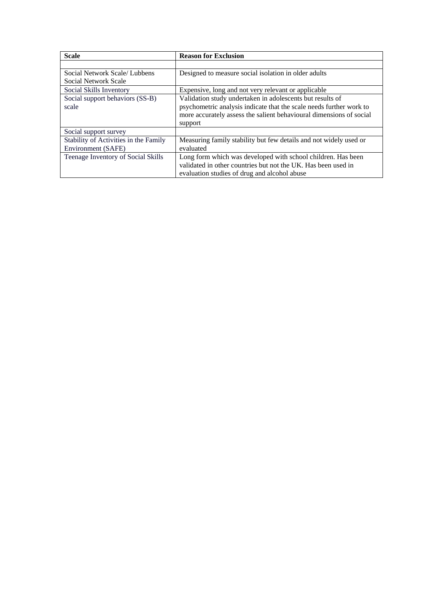| <b>Scale</b>                          | <b>Reason for Exclusion</b>                                         |
|---------------------------------------|---------------------------------------------------------------------|
|                                       |                                                                     |
| Social Network Scale/Lubbens          | Designed to measure social isolation in older adults                |
| Social Network Scale                  |                                                                     |
| Social Skills Inventory               | Expensive, long and not very relevant or applicable                 |
| Social support behaviors (SS-B)       | Validation study undertaken in adolescents but results of           |
| scale                                 | psychometric analysis indicate that the scale needs further work to |
|                                       | more accurately assess the salient behavioural dimensions of social |
|                                       | support                                                             |
| Social support survey                 |                                                                     |
| Stability of Activities in the Family | Measuring family stability but few details and not widely used or   |
| <b>Environment (SAFE)</b>             | evaluated                                                           |
| Teenage Inventory of Social Skills    | Long form which was developed with school children. Has been        |
|                                       | validated in other countries but not the UK. Has been used in       |
|                                       | evaluation studies of drug and alcohol abuse                        |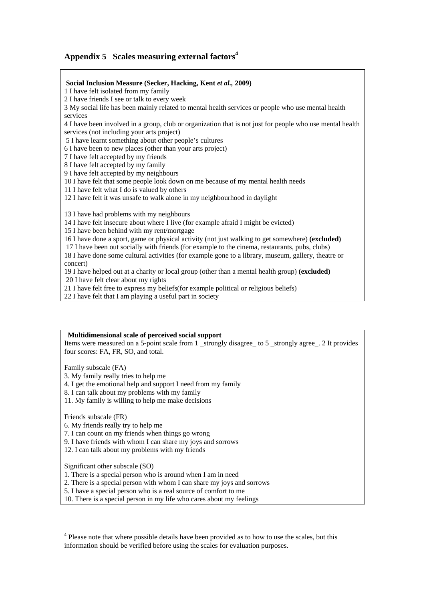## **Appendix 5 Scales measuring external factors4**

| Social Inclusion Measure (Secker, Hacking, Kent et al., 2009)                                             |
|-----------------------------------------------------------------------------------------------------------|
| 1 I have felt isolated from my family                                                                     |
| 2 I have friends I see or talk to every week                                                              |
|                                                                                                           |
| 3 My social life has been mainly related to mental health services or people who use mental health        |
| services                                                                                                  |
| 4 I have been involved in a group, club or organization that is not just for people who use mental health |
| services (not including your arts project)                                                                |
| 5 I have learnt something about other people's cultures                                                   |
| 6 I have been to new places (other than your arts project)                                                |
| 7 I have felt accepted by my friends                                                                      |
| 8 I have felt accepted by my family                                                                       |
| 9 I have felt accepted by my neighbours                                                                   |
| 10 I have felt that some people look down on me because of my mental health needs                         |
| 11 I have felt what I do is valued by others                                                              |
| 12 I have felt it was unsafe to walk alone in my neighbourhood in daylight                                |
|                                                                                                           |
| 13 I have had problems with my neighbours                                                                 |
| 14 I have felt insecure about where I live (for example afraid I might be evicted)                        |
| 15 I have been behind with my rent/mortgage                                                               |
| 16 I have done a sport, game or physical activity (not just walking to get somewhere) (excluded)          |
| 17 I have been out socially with friends (for example to the cinema, restaurants, pubs, clubs)            |
| 18 I have done some cultural activities (for example gone to a library, museum, gallery, theatre or       |
| concert)                                                                                                  |
| 19 I have helped out at a charity or local group (other than a mental health group) (excluded)            |
| 20 I have felt clear about my rights                                                                      |
| 21 I have felt free to express my beliefs (for example political or religious beliefs)                    |
| 22 I have felt that I am playing a useful part in society                                                 |
|                                                                                                           |
|                                                                                                           |

#### **Multidimensional scale of perceived social support**

Items were measured on a 5-point scale from 1 \_strongly disagree\_ to 5 \_strongly agree\_. 2 It provides four scores: FA, FR, SO, and total.

Family subscale (FA)

3. My family really tries to help me

4. I get the emotional help and support I need from my family

8. I can talk about my problems with my family

11. My family is willing to help me make decisions

Friends subscale (FR)

<u>.</u>

6. My friends really try to help me

7. I can count on my friends when things go wrong

9. I have friends with whom I can share my joys and sorrows

12. I can talk about my problems with my friends

Significant other subscale (SO)

1. There is a special person who is around when I am in need

2. There is a special person with whom I can share my joys and sorrows

5. I have a special person who is a real source of comfort to me

10. There is a special person in my life who cares about my feelings

<sup>&</sup>lt;sup>4</sup> Please note that where possible details have been provided as to how to use the scales, but this information should be verified before using the scales for evaluation purposes.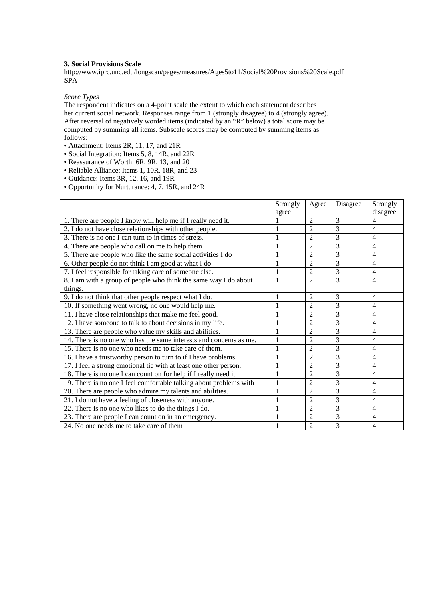#### **3. Social Provisions Scale**

http://www.iprc.unc.edu/longscan/pages/measures/Ages5to11/Social%20Provisions%20Scale.pdf SPA

#### *Score Types*

The respondent indicates on a 4-point scale the extent to which each statement describes her current social network. Responses range from 1 (strongly disagree) to 4 (strongly agree). After reversal of negatively worded items (indicated by an "R" below) a total score may be computed by summing all items. Subscale scores may be computed by summing items as follows:

- Attachment: Items 2R, 11, 17, and 21R
- Social Integration: Items 5, 8, 14R, and 22R
- Reassurance of Worth: 6R, 9R, 13, and 20
- Reliable Alliance: Items 1, 10R, 18R, and 23
- Guidance: Items 3R, 12, 16, and 19R
- Opportunity for Nurturance: 4, 7, 15R, and 24R

|                                                                    | Strongly | Agree          | Disagree       | Strongly       |
|--------------------------------------------------------------------|----------|----------------|----------------|----------------|
|                                                                    | agree    |                |                | disagree       |
| 1. There are people I know will help me if I really need it.       |          | $\overline{2}$ | 3              | 4              |
| 2. I do not have close relationships with other people.            |          | $\overline{2}$ | 3              | 4              |
| 3. There is no one I can turn to in times of stress.               |          | $\overline{2}$ | 3              | 4              |
| 4. There are people who call on me to help them                    |          | $\overline{2}$ | 3              | $\overline{4}$ |
| 5. There are people who like the same social activities I do       | 1        | $\overline{2}$ | 3              | 4              |
| 6. Other people do not think I am good at what I do                | 1        | $\overline{2}$ | 3              | 4              |
| 7. I feel responsible for taking care of someone else.             | 1        | $\overline{2}$ | 3              | 4              |
| 8. I am with a group of people who think the same way I do about   | 1        | $\overline{2}$ | $\overline{3}$ | $\overline{4}$ |
| things.                                                            |          |                |                |                |
| 9. I do not think that other people respect what I do.             | 1        | $\overline{2}$ | 3              | 4              |
| 10. If something went wrong, no one would help me.                 |          | $\overline{2}$ | 3              | 4              |
| 11. I have close relationships that make me feel good.             |          | $\overline{2}$ | 3              | $\overline{4}$ |
| 12. I have someone to talk to about decisions in my life.          | 1        | $\overline{2}$ | 3              | $\overline{4}$ |
| 13. There are people who value my skills and abilities.            | 1        | $\overline{2}$ | 3              | 4              |
| 14. There is no one who has the same interests and concerns as me. | 1        | $\overline{2}$ | 3              | 4              |
| 15. There is no one who needs me to take care of them.             | 1        | $\overline{2}$ | 3              | 4              |
| 16. I have a trustworthy person to turn to if I have problems.     | 1        | $\overline{2}$ | 3              | 4              |
| 17. I feel a strong emotional tie with at least one other person.  | 1        | $\overline{2}$ | 3              | 4              |
| 18. There is no one I can count on for help if I really need it.   | 1        | $\overline{2}$ | 3              | $\overline{4}$ |
| 19. There is no one I feel comfortable talking about problems with |          | $\overline{2}$ | $\overline{3}$ | $\overline{4}$ |
| 20. There are people who admire my talents and abilities.          | 1        | $\overline{2}$ | 3              | $\overline{4}$ |
| 21. I do not have a feeling of closeness with anyone.              | 1        | $\overline{2}$ | 3              | 4              |
| 22. There is no one who likes to do the things I do.               | 1        | $\overline{2}$ | 3              | $\overline{4}$ |
| 23. There are people I can count on in an emergency.               |          | $\overline{2}$ | 3              | 4              |
| 24. No one needs me to take care of them                           |          | $\overline{2}$ | 3              | $\overline{4}$ |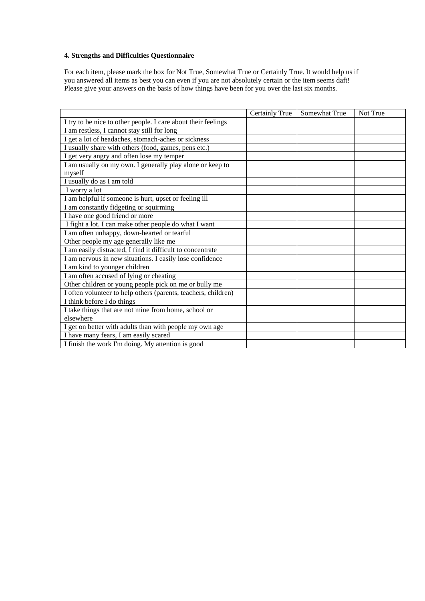#### **4. Strengths and Difficulties Questionnaire**

For each item, please mark the box for Not True, Somewhat True or Certainly True. It would help us if you answered all items as best you can even if you are not absolutely certain or the item seems daft! Please give your answers on the basis of how things have been for you over the last six months.

|                                                                | Certainly True | Somewhat True | Not True |
|----------------------------------------------------------------|----------------|---------------|----------|
| I try to be nice to other people. I care about their feelings  |                |               |          |
| I am restless, I cannot stay still for long                    |                |               |          |
| I get a lot of headaches, stomach-aches or sickness            |                |               |          |
| I usually share with others (food, games, pens etc.)           |                |               |          |
| I get very angry and often lose my temper                      |                |               |          |
| I am usually on my own. I generally play alone or keep to      |                |               |          |
| myself                                                         |                |               |          |
| I usually do as I am told                                      |                |               |          |
| I worry a lot                                                  |                |               |          |
| I am helpful if someone is hurt, upset or feeling ill          |                |               |          |
| I am constantly fidgeting or squirming                         |                |               |          |
| I have one good friend or more                                 |                |               |          |
| I fight a lot. I can make other people do what I want          |                |               |          |
| I am often unhappy, down-hearted or tearful                    |                |               |          |
| Other people my age generally like me                          |                |               |          |
| I am easily distracted, I find it difficult to concentrate     |                |               |          |
| I am nervous in new situations. I easily lose confidence       |                |               |          |
| I am kind to younger children                                  |                |               |          |
| I am often accused of lying or cheating                        |                |               |          |
| Other children or young people pick on me or bully me          |                |               |          |
| I often volunteer to help others (parents, teachers, children) |                |               |          |
| I think before I do things                                     |                |               |          |
| I take things that are not mine from home, school or           |                |               |          |
| elsewhere                                                      |                |               |          |
| I get on better with adults than with people my own age        |                |               |          |
| I have many fears, I am easily scared                          |                |               |          |
| I finish the work I'm doing. My attention is good              |                |               |          |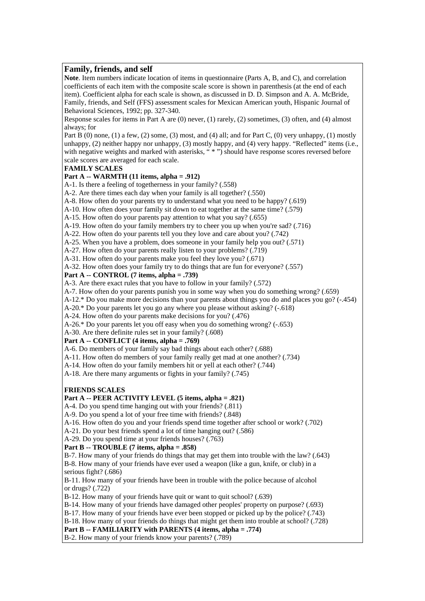#### **Family, friends, and self**

**Note**. Item numbers indicate location of items in questionnaire (Parts A, B, and C), and correlation coefficients of each item with the composite scale score is shown in parenthesis (at the end of each item). Coefficient alpha for each scale is shown, as discussed in D. D. Simpson and A. A. McBride, Family, friends, and Self (FFS) assessment scales for Mexican American youth, Hispanic Journal of Behavioral Sciences, 1992; pp. 327-340.

Response scales for items in Part A are (0) never, (1) rarely, (2) sometimes, (3) often, and (4) almost always; for

Part B (0) none, (1) a few, (2) some, (3) most, and (4) all; and for Part C, (0) very unhappy, (1) mostly unhappy, (2) neither happy nor unhappy, (3) mostly happy, and (4) very happy. "Reflected" items (i.e., with negative weights and marked with asterisks, "\*") should have response scores reversed before scale scores are averaged for each scale.

#### **FAMILY SCALES**

#### **Part A -- WARMTH (11 items, alpha = .912)**

A-1. Is there a feeling of togetherness in your family? (.558)

A-2. Are there times each day when your family is all together? (.550)

A-8. How often do your parents try to understand what you need to be happy? (.619)

A-10. How often does your family sit down to eat together at the same time? (.579)

A-15. How often do your parents pay attention to what you say? (.655)

A-19. How often do your family members try to cheer you up when you're sad? (.716)

A-22. How often do your parents tell you they love and care about you? (.742)

A-25. When you have a problem, does someone in your family help you out? (.571)

A-27. How often do your parents really listen to your problems? (.719)

A-31. How often do your parents make you feel they love you? (.671)

A-32. How often does your family try to do things that are fun for everyone? (.557)

#### **Part A -- CONTROL (7 items, alpha = .739)**

A-3. Are there exact rules that you have to follow in your family? (.572)

A-7. How often do your parents punish you in some way when you do something wrong? (.659)

A-12.\* Do you make more decisions than your parents about things you do and places you go? (-.454)

A-20.\* Do your parents let you go any where you please without asking? (-.618)

A-24. How often do your parents make decisions for you? (.476)

A-26.\* Do your parents let you off easy when you do something wrong? (-.653)

A-30. Are there definite rules set in your family? (.608)

#### **Part A -- CONFLICT (4 items, alpha = .769)**

A-6. Do members of your family say bad things about each other? (.688)

A-11. How often do members of your family really get mad at one another? (.734)

A-14. How often do your family members hit or yell at each other? (.744)

A-18. Are there many arguments or fights in your family? (.745)

#### **FRIENDS SCALES**

#### **Part A -- PEER ACTIVITY LEVEL (5 items, alpha = .821)**

A-4. Do you spend time hanging out with your friends? (.811)

A-9. Do you spend a lot of your free time with friends? (.848)

A-16. How often do you and your friends spend time together after school or work? (.702)

A-21. Do your best friends spend a lot of time hanging out? (.586)

A-29. Do you spend time at your friends houses? (.763)

#### **Part B -- TROUBLE (7 items, alpha = .858)**

B-7. How many of your friends do things that may get them into trouble with the law? (.643) B-8. How many of your friends have ever used a weapon (like a gun, knife, or club) in a serious fight? (.686)

B-11. How many of your friends have been in trouble with the police because of alcohol or drugs? (.722)

B-12. How many of your friends have quit or want to quit school? (.639)

B-14. How many of your friends have damaged other peoples' property on purpose? (.693)

B-17. How many of your friends have ever been stopped or picked up by the police? (.743)

B-18. How many of your friends do things that might get them into trouble at school? (.728)

**Part B -- FAMILIARITY with PARENTS (4 items, alpha = .774)** 

B-2. How many of your friends know your parents? (.789)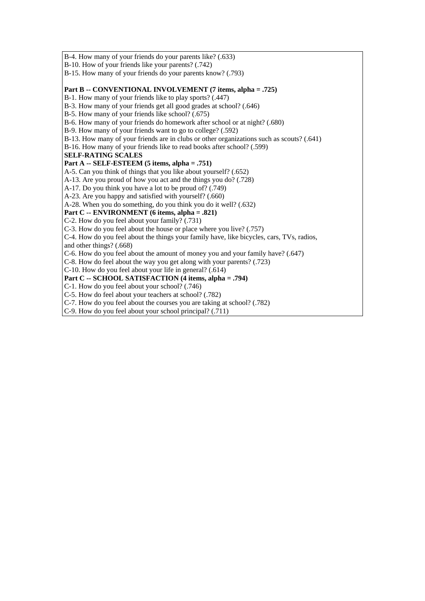B-4. How many of your friends do your parents like? (.633) B-10. How of your friends like your parents? (.742) B-15. How many of your friends do your parents know? (.793) **Part B -- CONVENTIONAL INVOLVEMENT (7 items, alpha = .725)**  B-1. How many of your friends like to play sports? (.447) B-3. How many of your friends get all good grades at school? (.646) B-5. How many of your friends like school? (.675) B-6. How many of your friends do homework after school or at night? (.680) B-9. How many of your friends want to go to college? (.592) B-13. How many of your friends are in clubs or other organizations such as scouts? (.641) B-16. How many of your friends like to read books after school? (.599) **SELF-RATING SCALES Part A -- SELF-ESTEEM (5 items, alpha = .751)**  A-5. Can you think of things that you like about yourself? (.652) A-13. Are you proud of how you act and the things you do? (.728) A-17. Do you think you have a lot to be proud of? (.749) A-23. Are you happy and satisfied with yourself? (.660) A-28. When you do something, do you think you do it well? (.632) **Part C -- ENVIRONMENT (6 items, alpha = .821)**  C-2. How do you feel about your family? (.731) C-3. How do you feel about the house or place where you live? (.757) C-4. How do you feel about the things your family have, like bicycles, cars, TVs, radios, and other things? (.668) C-6. How do you feel about the amount of money you and your family have? (.647) C-8. How do feel about the way you get along with your parents? (.723) C-10. How do you feel about your life in general? (.614) **Part C -- SCHOOL SATISFACTION (4 items, alpha = .794)**  C-1. How do you feel about your school? (.746) C-5. How do feel about your teachers at school? (.782) C-7. How do you feel about the courses you are taking at school? (.782) C-9. How do you feel about your school principal? (.711)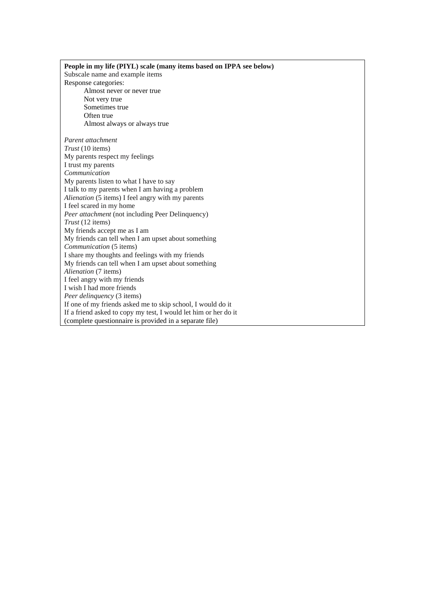| People in my life (PIYL) scale (many items based on IPPA see below) |  |  |  |  |
|---------------------------------------------------------------------|--|--|--|--|
| Subscale name and example items                                     |  |  |  |  |
| Response categories:                                                |  |  |  |  |
| Almost never or never true                                          |  |  |  |  |
| Not very true                                                       |  |  |  |  |
| Sometimes true                                                      |  |  |  |  |
| Often true                                                          |  |  |  |  |
| Almost always or always true                                        |  |  |  |  |
| Parent attachment                                                   |  |  |  |  |
| <i>Trust</i> (10 items)                                             |  |  |  |  |
| My parents respect my feelings                                      |  |  |  |  |
| I trust my parents                                                  |  |  |  |  |
| Communication                                                       |  |  |  |  |
| My parents listen to what I have to say                             |  |  |  |  |
| I talk to my parents when I am having a problem                     |  |  |  |  |
| Alienation (5 items) I feel angry with my parents                   |  |  |  |  |
| I feel scared in my home                                            |  |  |  |  |
| Peer attachment (not including Peer Delinquency)                    |  |  |  |  |
| Trust (12 items)                                                    |  |  |  |  |
| My friends accept me as I am                                        |  |  |  |  |
| My friends can tell when I am upset about something                 |  |  |  |  |
| Communication (5 items)                                             |  |  |  |  |
| I share my thoughts and feelings with my friends                    |  |  |  |  |
| My friends can tell when I am upset about something                 |  |  |  |  |
| Alienation (7 items)                                                |  |  |  |  |
| I feel angry with my friends                                        |  |  |  |  |
| I wish I had more friends                                           |  |  |  |  |
| Peer delinquency (3 items)                                          |  |  |  |  |
| If one of my friends asked me to skip school, I would do it         |  |  |  |  |
| If a friend asked to copy my test, I would let him or her do it     |  |  |  |  |
| (complete questionnaire is provided in a separate file)             |  |  |  |  |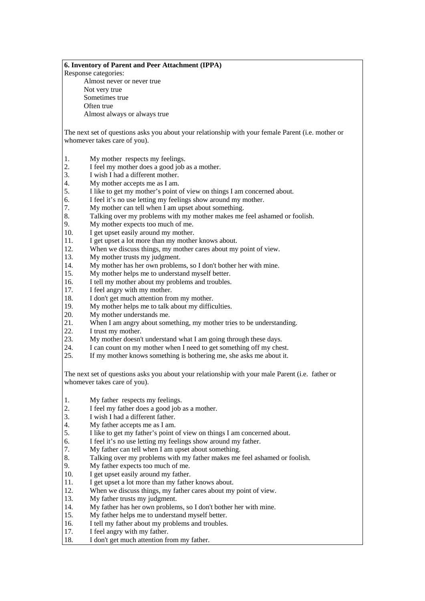**6. Inventory of Parent and Peer Attachment (IPPA)** 

Response categories:

 Almost never or never true Not very true Sometimes true Often true Almost always or always true

The next set of questions asks you about your relationship with your female Parent (i.e. mother or whomever takes care of you).

- 1. My mother respects my feelings.
- 2. I feel my mother does a good job as a mother.
- 3. I wish I had a different mother.<br>4. My mother accents me as I am.
- 
- 4. My mother accepts me as I am.<br>5. I like to get my mother's point of I like to get my mother's point of view on things I am concerned about.
- 6. I feel it's no use letting my feelings show around my mother.<br>7. My mother can tell when I am unset about something.
- 7. My mother can tell when I am upset about something.<br>8. Talking over my problems with my mother makes me
- Talking over my problems with my mother makes me feel ashamed or foolish.
- 9. My mother expects too much of me.
- 10. I get upset easily around my mother.
- 11. I get upset a lot more than my mother knows about.
- 12. When we discuss things, my mother cares about my point of view.
- 13. My mother trusts my judgment.
- 14. My mother has her own problems, so I don't bother her with mine.
- 15. My mother helps me to understand myself better.
- 16. I tell my mother about my problems and troubles.
- 17. I feel angry with my mother.
- 18. I don't get much attention from my mother.
- 19. My mother helps me to talk about my difficulties.
- 20. My mother understands me.
- 21. When I am angry about something, my mother tries to be understanding.
- 22. I trust my mother.
- 23. My mother doesn't understand what I am going through these days.
- 24. I can count on my mother when I need to get something off my chest.<br>25. If my mother knows something is bothering me, she asks me about it.
- If my mother knows something is bothering me, she asks me about it.

The next set of questions asks you about your relationship with your male Parent (i.e. father or whomever takes care of you).

- 1. My father respects my feelings.
- 2. I feel my father does a good job as a mother.
- 3. I wish I had a different father.
- 4. My father accepts me as I am.<br>5. I like to get my father's point of
- 5. I like to get my father's point of view on things I am concerned about.<br>6. I feel it's no use letting my feelings show around my father.
- I feel it's no use letting my feelings show around my father.
- 7. My father can tell when I am upset about something.<br>8. Talking over my problems with my father makes me
- 8. Talking over my problems with my father makes me feel ashamed or foolish.<br>9. We father expects too much of me.
- 9. My father expects too much of me.<br>10 I get unset easily around my father.
- I get upset easily around my father.
- 11. I get upset a lot more than my father knows about.
- 12. When we discuss things, my father cares about my point of view.
- 13. My father trusts my judgment.
- 14. My father has her own problems, so I don't bother her with mine.
- 15. My father helps me to understand myself better.
- 16. I tell my father about my problems and troubles.
- 17. I feel angry with my father.
- 18. I don't get much attention from my father.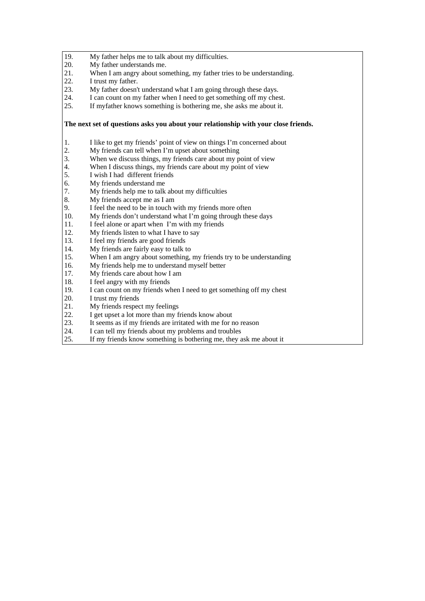- 19. My father helps me to talk about my difficulties.
- 20. My father understands me.
- 21. When I am angry about something, my father tries to be understanding.
- 22. I trust my father.
- 23. My father doesn't understand what I am going through these days.<br>24. I can count on my father when I need to get something off my ches
- 24. I can count on my father when I need to get something off my chest.<br>25. If my father knows something is bothering me, she asks me about it.
- If myfather knows something is bothering me, she asks me about it.

#### **The next set of questions asks you about your relationship with your close friends.**

- 1. I like to get my friends' point of view on things I'm concerned about
- 2. My friends can tell when I'm upset about something
- 3. When we discuss things, my friends care about my point of view
- 4. When I discuss things, my friends care about my point of view
- 5. I wish I had different friends<br>6. My friends understand me
- 6. My friends understand me<br>7. My friends help me to talk
- 7. My friends help me to talk about my difficulties<br>8. My friends accept me as I am
- 8. My friends accept me as I am<br>9. I feel the need to be in touch v
- 9. I feel the need to be in touch with my friends more often  $10$ . My friends don't understand what  $\Gamma$  m going through the
- $Mv$  friends don't understand what I'm going through these days
- 11. I feel alone or apart when I'm with my friends
- 12. My friends listen to what I have to say
- 13. I feel my friends are good friends
- 14. My friends are fairly easy to talk to
- 15. When I am angry about something, my friends try to be understanding
- 16. My friends help me to understand myself better 17. My friends care about how I am
- My friends care about how I am
- 18. I feel angry with my friends<br>19. I can count on my friends wl
- I can count on my friends when I need to get something off my chest
- 20. I trust my friends
- 21. My friends respect my feelings
- 22. I get upset a lot more than my friends know about
- 23. It seems as if my friends are irritated with me for no reason
- 24. I can tell my friends about my problems and troubles
- 25. If my friends know something is bothering me, they ask me about it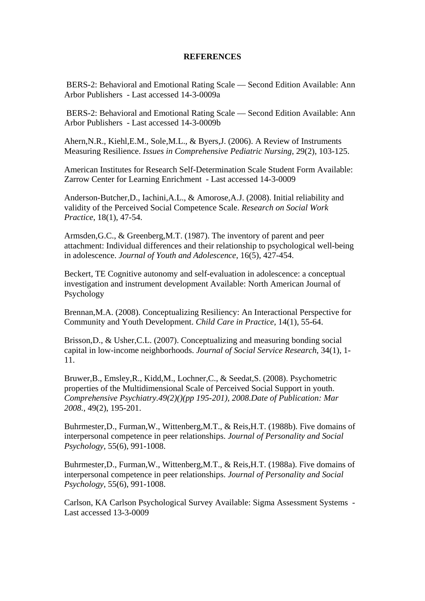#### **REFERENCES**

 BERS-2: Behavioral and Emotional Rating Scale — Second Edition Available: Ann Arbor Publishers - Last accessed 14-3-0009a

 BERS-2: Behavioral and Emotional Rating Scale — Second Edition Available: Ann Arbor Publishers - Last accessed 14-3-0009b

Ahern,N.R., Kiehl,E.M., Sole,M.L., & Byers,J. (2006). A Review of Instruments Measuring Resilience. *Issues in Comprehensive Pediatric Nursing*, 29(2), 103-125.

American Institutes for Research Self-Determination Scale Student Form Available: Zarrow Center for Learning Enrichment - Last accessed 14-3-0009

Anderson-Butcher,D., Iachini,A.L., & Amorose,A.J. (2008). Initial reliability and validity of the Perceived Social Competence Scale. *Research on Social Work Practice*, 18(1), 47-54.

Armsden,G.C., & Greenberg,M.T. (1987). The inventory of parent and peer attachment: Individual differences and their relationship to psychological well-being in adolescence. *Journal of Youth and Adolescence*, 16(5), 427-454.

Beckert, TE Cognitive autonomy and self-evaluation in adolescence: a conceptual investigation and instrument development Available: North American Journal of Psychology

Brennan,M.A. (2008). Conceptualizing Resiliency: An Interactional Perspective for Community and Youth Development. *Child Care in Practice*, 14(1), 55-64.

Brisson,D., & Usher,C.L. (2007). Conceptualizing and measuring bonding social capital in low-income neighborhoods. *Journal of Social Service Research*, 34(1), 1- 11.

Bruwer,B., Emsley,R., Kidd,M., Lochner,C., & Seedat,S. (2008). Psychometric properties of the Multidimensional Scale of Perceived Social Support in youth. *Comprehensive Psychiatry.49(2)()(pp 195-201), 2008.Date of Publication: Mar 2008.*, 49(2), 195-201.

Buhrmester,D., Furman,W., Wittenberg,M.T., & Reis,H.T. (1988b). Five domains of interpersonal competence in peer relationships. *Journal of Personality and Social Psychology*, 55(6), 991-1008.

Buhrmester,D., Furman,W., Wittenberg,M.T., & Reis,H.T. (1988a). Five domains of interpersonal competence in peer relationships. *Journal of Personality and Social Psychology*, 55(6), 991-1008.

Carlson, KA Carlson Psychological Survey Available: Sigma Assessment Systems - Last accessed 13-3-0009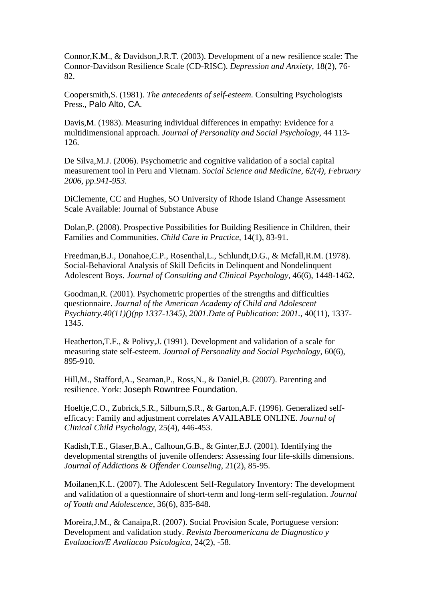Connor,K.M., & Davidson,J.R.T. (2003). Development of a new resilience scale: The Connor-Davidson Resilience Scale (CD-RISC). *Depression and Anxiety*, 18(2), 76- 82.

Coopersmith,S. (1981). *The antecedents of self-esteem.* Consulting Psychologists Press., Palo Alto, CA.

Davis,M. (1983). Measuring individual differences in empathy: Evidence for a multidimensional approach. *Journal of Personality and Social Psychology*, 44 113- 126.

De Silva,M.J. (2006). Psychometric and cognitive validation of a social capital measurement tool in Peru and Vietnam. *Social Science and Medicine, 62(4), February 2006, pp.941-953.* 

DiClemente, CC and Hughes, SO University of Rhode Island Change Assessment Scale Available: Journal of Substance Abuse

Dolan,P. (2008). Prospective Possibilities for Building Resilience in Children, their Families and Communities. *Child Care in Practice*, 14(1), 83-91.

Freedman,B.J., Donahoe,C.P., Rosenthal,L., Schlundt,D.G., & Mcfall,R.M. (1978). Social-Behavioral Analysis of Skill Deficits in Delinquent and Nondelinquent Adolescent Boys. *Journal of Consulting and Clinical Psychology*, 46(6), 1448-1462.

Goodman,R. (2001). Psychometric properties of the strengths and difficulties questionnaire. *Journal of the American Academy of Child and Adolescent Psychiatry.40(11)()(pp 1337-1345), 2001.Date of Publication: 2001.*, 40(11), 1337- 1345.

Heatherton,T.F., & Polivy,J. (1991). Development and validation of a scale for measuring state self-esteem. *Journal of Personality and Social Psychology*, 60(6), 895-910.

Hill,M., Stafford,A., Seaman,P., Ross,N., & Daniel,B. (2007). Parenting and resilience. York: Joseph Rowntree Foundation.

Hoeltje,C.O., Zubrick,S.R., Silburn,S.R., & Garton,A.F. (1996). Generalized selfefficacy: Family and adjustment correlates AVAILABLE ONLINE. *Journal of Clinical Child Psychology*, 25(4), 446-453.

Kadish,T.E., Glaser,B.A., Calhoun,G.B., & Ginter,E.J. (2001). Identifying the developmental strengths of juvenile offenders: Assessing four life-skills dimensions. *Journal of Addictions & Offender Counseling*, 21(2), 85-95.

Moilanen,K.L. (2007). The Adolescent Self-Regulatory Inventory: The development and validation of a questionnaire of short-term and long-term self-regulation. *Journal of Youth and Adolescence*, 36(6), 835-848.

Moreira,J.M., & Canaipa,R. (2007). Social Provision Scale, Portuguese version: Development and validation study. *Revista Iberoamericana de Diagnostico y Evaluacion/E Avaliacao Psicologica*, 24(2), -58.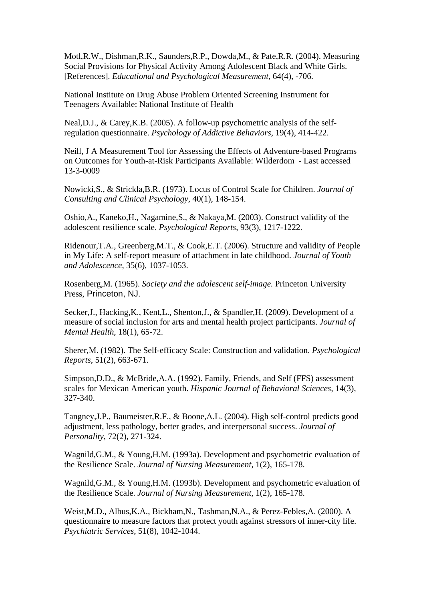Motl,R.W., Dishman,R.K., Saunders,R.P., Dowda,M., & Pate,R.R. (2004). Measuring Social Provisions for Physical Activity Among Adolescent Black and White Girls. [References]. *Educational and Psychological Measurement*, 64(4), -706.

National Institute on Drug Abuse Problem Oriented Screening Instrument for Teenagers Available: National Institute of Health

Neal,D.J., & Carey,K.B. (2005). A follow-up psychometric analysis of the selfregulation questionnaire. *Psychology of Addictive Behaviors*, 19(4), 414-422.

Neill, J A Measurement Tool for Assessing the Effects of Adventure-based Programs on Outcomes for Youth-at-Risk Participants Available: Wilderdom - Last accessed 13-3-0009

Nowicki,S., & Strickla,B.R. (1973). Locus of Control Scale for Children. *Journal of Consulting and Clinical Psychology*, 40(1), 148-154.

Oshio,A., Kaneko,H., Nagamine,S., & Nakaya,M. (2003). Construct validity of the adolescent resilience scale. *Psychological Reports*, 93(3), 1217-1222.

Ridenour,T.A., Greenberg,M.T., & Cook,E.T. (2006). Structure and validity of People in My Life: A self-report measure of attachment in late childhood. *Journal of Youth and Adolescence*, 35(6), 1037-1053.

Rosenberg,M. (1965). *Society and the adolescent self-image.* Princeton University Press, Princeton, NJ.

Secker,J., Hacking,K., Kent,L., Shenton,J., & Spandler,H. (2009). Development of a measure of social inclusion for arts and mental health project participants. *Journal of Mental Health*, 18(1), 65-72.

Sherer,M. (1982). The Self-efficacy Scale: Construction and validation. *Psychological Reports*, 51(2), 663-671.

Simpson,D.D., & McBride,A.A. (1992). Family, Friends, and Self (FFS) assessment scales for Mexican American youth. *Hispanic Journal of Behavioral Sciences*, 14(3), 327-340.

Tangney,J.P., Baumeister,R.F., & Boone,A.L. (2004). High self-control predicts good adjustment, less pathology, better grades, and interpersonal success. *Journal of Personality*, 72(2), 271-324.

Wagnild,G.M., & Young,H.M. (1993a). Development and psychometric evaluation of the Resilience Scale. *Journal of Nursing Measurement*, 1(2), 165-178.

Wagnild,G.M., & Young,H.M. (1993b). Development and psychometric evaluation of the Resilience Scale. *Journal of Nursing Measurement*, 1(2), 165-178.

Weist,M.D., Albus,K.A., Bickham,N., Tashman,N.A., & Perez-Febles,A. (2000). A questionnaire to measure factors that protect youth against stressors of inner-city life. *Psychiatric Services*, 51(8), 1042-1044.